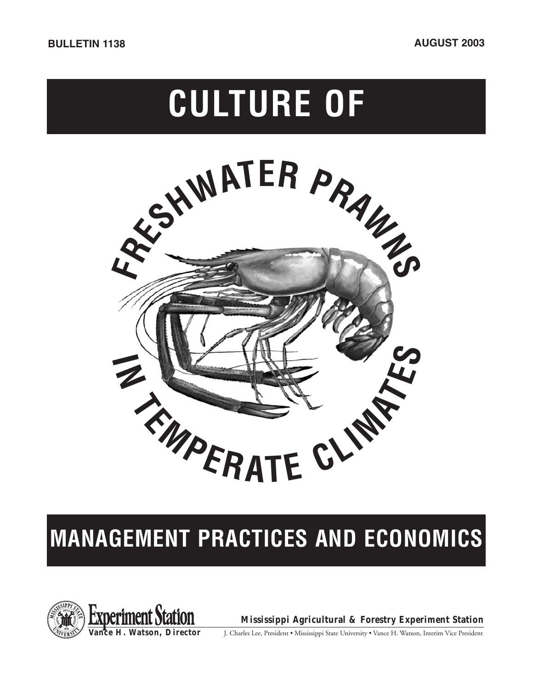# **CULTURE OF**



## **MANAGEMENT PRACTICES AND ECONOMICS**



**Mississippi Agricultural & Forestry Experiment Station**

J. Charles Lee, President • Mississippi State University • Vance H. Watson, Interim Vice President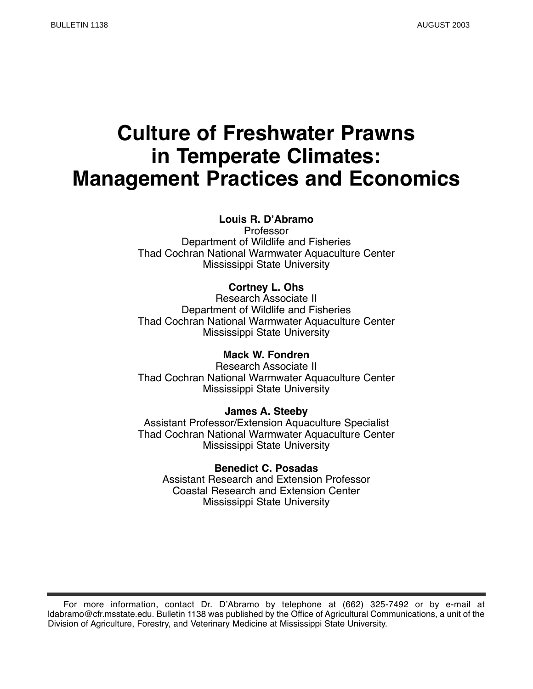## **Culture of Freshwater Prawns in Temperate Climates: Management Practices and Economics**

#### **Louis R. D'Abramo**

Professor Department of Wildlife and Fisheries Thad Cochran National Warmwater Aquaculture Center Mississippi State University

#### **Cortney L. Ohs**

Research Associate II Department of Wildlife and Fisheries Thad Cochran National Warmwater Aquaculture Center Mississippi State University

#### **Mack W. Fondren**

Research Associate II Thad Cochran National Warmwater Aquaculture Center Mississippi State University

#### **James A. Steeby**

Assistant Professor/Extension Aquaculture Specialist Thad Cochran National Warmwater Aquaculture Center Mississippi State University

**Benedict C. Posadas** Assistant Research and Extension Professor Coastal Research and Extension Center Mississippi State University

For more information, contact Dr. D'Abramo by telephone at (662) 325-7492 or by e-mail at ldabramo@cfr.msstate.edu. Bulletin 1138 was published by the Office of Agricultural Communications, a unit of the Division of Agriculture, Forestry, and Veterinary Medicine at Mississippi State University.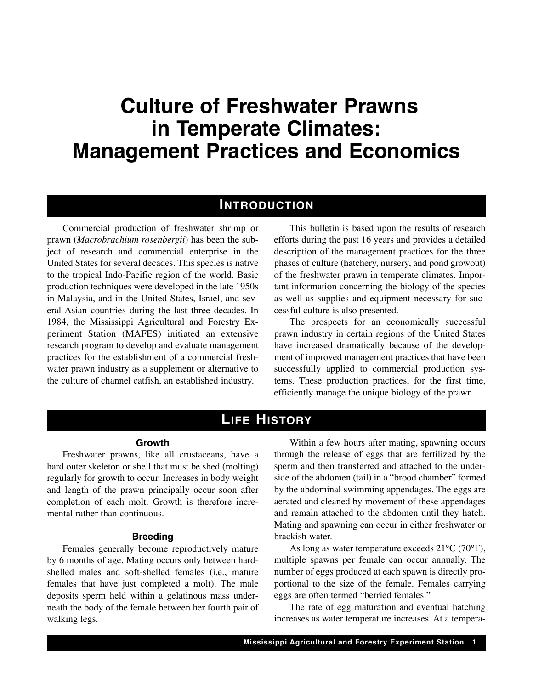## **Culture of Freshwater Prawns in Temperate Climates: Management Practices and Economics**

### **INTRODUCTION**

Commercial production of freshwater shrimp or prawn (*Macrobrachium rosenbergii*) has been the subject of research and commercial enterprise in the United States for several decades. This species is native to the tropical Indo-Pacific region of the world. Basic production techniques were developed in the late 1950s in Malaysia, and in the United States, Israel, and several Asian countries during the last three decades. In 1984, the Mississippi Agricultural and Forestry Experiment Station (MAFES) initiated an extensive research program to develop and evaluate management practices for the establishment of a commercial freshwater prawn industry as a supplement or alternative to the culture of channel catfish, an established industry.

This bulletin is based upon the results of research efforts during the past 16 years and provides a detailed description of the management practices for the three phases of culture (hatchery, nursery, and pond growout) of the freshwater prawn in temperate climates. Important information concerning the biology of the species as well as supplies and equipment necessary for successful culture is also presented.

The prospects for an economically successful prawn industry in certain regions of the United States have increased dramatically because of the development of improved management practices that have been successfully applied to commercial production systems. These production practices, for the first time, efficiently manage the unique biology of the prawn.

## **LIFE HISTORY**

#### **Growth**

Freshwater prawns, like all crustaceans, have a hard outer skeleton or shell that must be shed (molting) regularly for growth to occur. Increases in body weight and length of the prawn principally occur soon after completion of each molt. Growth is therefore incremental rather than continuous.

#### **Breeding**

Females generally become reproductively mature by 6 months of age. Mating occurs only between hardshelled males and soft-shelled females (i.e., mature females that have just completed a molt). The male deposits sperm held within a gelatinous mass underneath the body of the female between her fourth pair of walking legs.

Within a few hours after mating, spawning occurs through the release of eggs that are fertilized by the sperm and then transferred and attached to the underside of the abdomen (tail) in a "brood chamber" formed by the abdominal swimming appendages. The eggs are aerated and cleaned by movement of these appendages and remain attached to the abdomen until they hatch. Mating and spawning can occur in either freshwater or brackish water.

As long as water temperature exceeds 21°C (70°F), multiple spawns per female can occur annually. The number of eggs produced at each spawn is directly proportional to the size of the female. Females carrying eggs are often termed "berried females."

The rate of egg maturation and eventual hatching increases as water temperature increases. At a tempera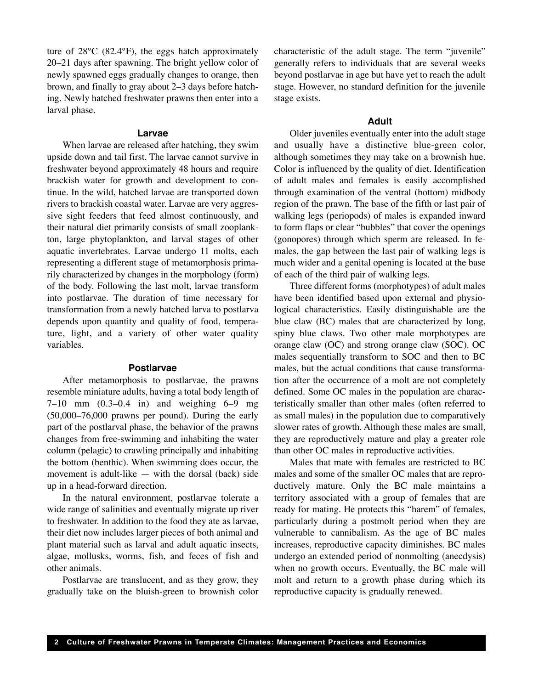ture of 28°C (82.4°F), the eggs hatch approximately 20–21 days after spawning. The bright yellow color of newly spawned eggs gradually changes to orange, then brown, and finally to gray about 2–3 days before hatching. Newly hatched freshwater prawns then enter into a larval phase.

#### **Larvae**

When larvae are released after hatching, they swim upside down and tail first. The larvae cannot survive in freshwater beyond approximately 48 hours and require brackish water for growth and development to continue. In the wild, hatched larvae are transported down rivers to brackish coastal water. Larvae are very aggressive sight feeders that feed almost continuously, and their natural diet primarily consists of small zooplankton, large phytoplankton, and larval stages of other aquatic invertebrates. Larvae undergo 11 molts, each representing a different stage of metamorphosis primarily characterized by changes in the morphology (form) of the body. Following the last molt, larvae transform into postlarvae. The duration of time necessary for transformation from a newly hatched larva to postlarva depends upon quantity and quality of food, temperature, light, and a variety of other water quality variables.

#### **Postlarvae**

After metamorphosis to postlarvae, the prawns resemble miniature adults, having a total body length of 7–10 mm (0.3–0.4 in) and weighing 6–9 mg (50,000–76,000 prawns per pound). During the early part of the postlarval phase, the behavior of the prawns changes from free-swimming and inhabiting the water column (pelagic) to crawling principally and inhabiting the bottom (benthic). When swimming does occur, the movement is adult-like — with the dorsal (back) side up in a head-forward direction.

In the natural environment, postlarvae tolerate a wide range of salinities and eventually migrate up river to freshwater. In addition to the food they ate as larvae, their diet now includes larger pieces of both animal and plant material such as larval and adult aquatic insects, algae, mollusks, worms, fish, and feces of fish and other animals.

Postlarvae are translucent, and as they grow, they gradually take on the bluish-green to brownish color characteristic of the adult stage. The term "juvenile" generally refers to individuals that are several weeks beyond postlarvae in age but have yet to reach the adult stage. However, no standard definition for the juvenile stage exists.

#### **Adult**

Older juveniles eventually enter into the adult stage and usually have a distinctive blue-green color, although sometimes they may take on a brownish hue. Color is influenced by the quality of diet. Identification of adult males and females is easily accomplished through examination of the ventral (bottom) midbody region of the prawn. The base of the fifth or last pair of walking legs (periopods) of males is expanded inward to form flaps or clear "bubbles" that cover the openings (gonopores) through which sperm are released. In females, the gap between the last pair of walking legs is much wider and a genital opening is located at the base of each of the third pair of walking legs.

Three different forms (morphotypes) of adult males have been identified based upon external and physiological characteristics. Easily distinguishable are the blue claw (BC) males that are characterized by long, spiny blue claws. Two other male morphotypes are orange claw (OC) and strong orange claw (SOC). OC males sequentially transform to SOC and then to BC males, but the actual conditions that cause transformation after the occurrence of a molt are not completely defined. Some OC males in the population are characteristically smaller than other males (often referred to as small males) in the population due to comparatively slower rates of growth. Although these males are small, they are reproductively mature and play a greater role than other OC males in reproductive activities.

Males that mate with females are restricted to BC males and some of the smaller OC males that are reproductively mature. Only the BC male maintains a territory associated with a group of females that are ready for mating. He protects this "harem" of females, particularly during a postmolt period when they are vulnerable to cannibalism. As the age of BC males increases, reproductive capacity diminishes. BC males undergo an extended period of nonmolting (anecdysis) when no growth occurs. Eventually, the BC male will molt and return to a growth phase during which its reproductive capacity is gradually renewed.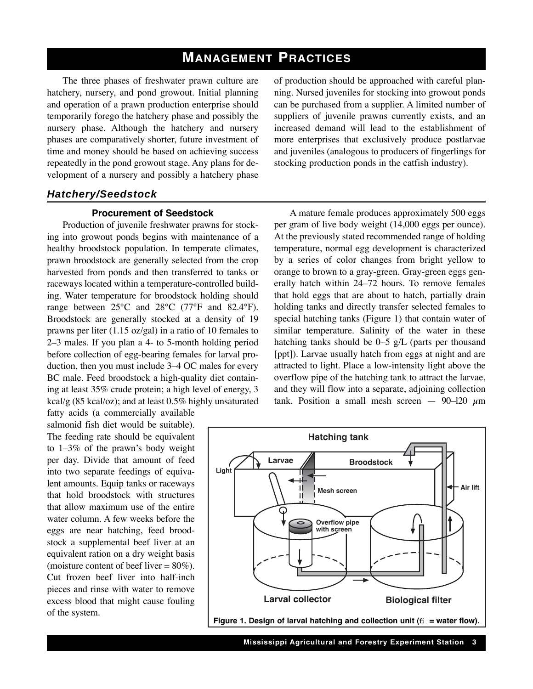## **MANAGEMENT PRACTICES**

The three phases of freshwater prawn culture are hatchery, nursery, and pond growout. Initial planning and operation of a prawn production enterprise should temporarily forego the hatchery phase and possibly the nursery phase. Although the hatchery and nursery phases are comparatively shorter, future investment of time and money should be based on achieving success repeatedly in the pond growout stage. Any plans for development of a nursery and possibly a hatchery phase of production should be approached with careful planning. Nursed juveniles for stocking into growout ponds can be purchased from a supplier. A limited number of suppliers of juvenile prawns currently exists, and an increased demand will lead to the establishment of more enterprises that exclusively produce postlarvae and juveniles (analogous to producers of fingerlings for stocking production ponds in the catfish industry).

#### *Hatchery/Seedstock*

#### **Procurement of Seedstock**

Production of juvenile freshwater prawns for stocking into growout ponds begins with maintenance of a healthy broodstock population. In temperate climates, prawn broodstock are generally selected from the crop harvested from ponds and then transferred to tanks or raceways located within a temperature-controlled building. Water temperature for broodstock holding should range between 25°C and 28°C (77°F and 82.4°F). Broodstock are generally stocked at a density of 19 prawns per liter (1.15 oz/gal) in a ratio of 10 females to 2–3 males. If you plan a 4- to 5-month holding period before collection of egg-bearing females for larval production, then you must include 3–4 OC males for every BC male. Feed broodstock a high-quality diet containing at least 35% crude protein; a high level of energy, 3 kcal/g (85 kcal/oz); and at least 0.5% highly unsaturated fatty acids (a commercially available

salmonid fish diet would be suitable). The feeding rate should be equivalent to 1–3% of the prawn's body weight per day. Divide that amount of feed into two separate feedings of equivalent amounts. Equip tanks or raceways that hold broodstock with structures that allow maximum use of the entire water column. A few weeks before the eggs are near hatching, feed broodstock a supplemental beef liver at an equivalent ration on a dry weight basis (moisture content of beef liver  $= 80\%$ ). Cut frozen beef liver into half-inch pieces and rinse with water to remove excess blood that might cause fouling of the system.

A mature female produces approximately 500 eggs per gram of live body weight (14,000 eggs per ounce). At the previously stated recommended range of holding temperature, normal egg development is characterized by a series of color changes from bright yellow to orange to brown to a gray-green. Gray-green eggs generally hatch within 24–72 hours. To remove females that hold eggs that are about to hatch, partially drain holding tanks and directly transfer selected females to special hatching tanks (Figure 1) that contain water of similar temperature. Salinity of the water in these hatching tanks should be  $0-5$  g/L (parts per thousand [ppt]). Larvae usually hatch from eggs at night and are attracted to light. Place a low-intensity light above the overflow pipe of the hatching tank to attract the larvae, and they will flow into a separate, adjoining collection tank. Position a small mesh screen  $-$  90–120  $\mu$ m



**Mississippi Agricultural and Forestry Experiment Station 3**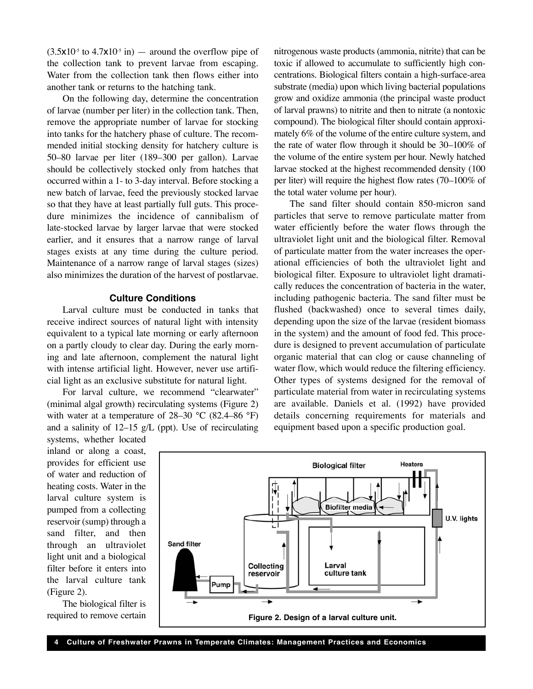$(3.5x10<sup>5</sup>$  to  $4.7x10<sup>5</sup>$  in) — around the overflow pipe of the collection tank to prevent larvae from escaping. Water from the collection tank then flows either into another tank or returns to the hatching tank.

On the following day, determine the concentration of larvae (number per liter) in the collection tank. Then, remove the appropriate number of larvae for stocking into tanks for the hatchery phase of culture. The recommended initial stocking density for hatchery culture is 50–80 larvae per liter (189–300 per gallon). Larvae should be collectively stocked only from hatches that occurred within a 1- to 3-day interval. Before stocking a new batch of larvae, feed the previously stocked larvae so that they have at least partially full guts. This procedure minimizes the incidence of cannibalism of late-stocked larvae by larger larvae that were stocked earlier, and it ensures that a narrow range of larval stages exists at any time during the culture period. Maintenance of a narrow range of larval stages (sizes) also minimizes the duration of the harvest of postlarvae.

#### **Culture Conditions**

Larval culture must be conducted in tanks that receive indirect sources of natural light with intensity equivalent to a typical late morning or early afternoon on a partly cloudy to clear day. During the early morning and late afternoon, complement the natural light with intense artificial light. However, never use artificial light as an exclusive substitute for natural light.

For larval culture, we recommend "clearwater" (minimal algal growth) recirculating systems (Figure 2) with water at a temperature of  $28-30$  °C (82.4–86 °F) and a salinity of 12–15 g/L (ppt). Use of recirculating

systems, whether located inland or along a coast, provides for efficient use of water and reduction of heating costs. Water in the larval culture system is pumped from a collecting reservoir (sump) through a sand filter, and then through an ultraviolet light unit and a biological filter before it enters into the larval culture tank (Figure 2).

The biological filter is required to remove certain nitrogenous waste products (ammonia, nitrite) that can be toxic if allowed to accumulate to sufficiently high concentrations. Biological filters contain a high-surface-area substrate (media) upon which living bacterial populations grow and oxidize ammonia (the principal waste product of larval prawns) to nitrite and then to nitrate (a nontoxic compound). The biological filter should contain approximately 6% of the volume of the entire culture system, and the rate of water flow through it should be 30–100% of the volume of the entire system per hour. Newly hatched larvae stocked at the highest recommended density (100 per liter) will require the highest flow rates (70–100% of the total water volume per hour).

The sand filter should contain 850-micron sand particles that serve to remove particulate matter from water efficiently before the water flows through the ultraviolet light unit and the biological filter. Removal of particulate matter from the water increases the operational efficiencies of both the ultraviolet light and biological filter. Exposure to ultraviolet light dramatically reduces the concentration of bacteria in the water, including pathogenic bacteria. The sand filter must be flushed (backwashed) once to several times daily, depending upon the size of the larvae (resident biomass in the system) and the amount of food fed. This procedure is designed to prevent accumulation of particulate organic material that can clog or cause channeling of water flow, which would reduce the filtering efficiency. Other types of systems designed for the removal of particulate material from water in recirculating systems are available. Daniels et al. (1992) have provided details concerning requirements for materials and equipment based upon a specific production goal.

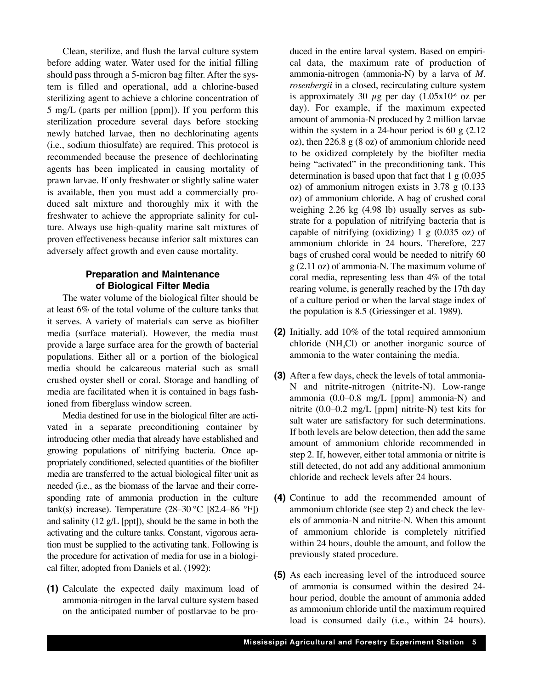Clean, sterilize, and flush the larval culture system before adding water. Water used for the initial filling should pass through a 5-micron bag filter. After the system is filled and operational, add a chlorine-based sterilizing agent to achieve a chlorine concentration of 5 mg/L (parts per million [ppm]). If you perform this sterilization procedure several days before stocking newly hatched larvae, then no dechlorinating agents (i.e., sodium thiosulfate) are required. This protocol is recommended because the presence of dechlorinating agents has been implicated in causing mortality of prawn larvae. If only freshwater or slightly saline water is available, then you must add a commercially produced salt mixture and thoroughly mix it with the freshwater to achieve the appropriate salinity for culture. Always use high-quality marine salt mixtures of proven effectiveness because inferior salt mixtures can adversely affect growth and even cause mortality.

#### **Preparation and Maintenance of Biological Filter Media**

The water volume of the biological filter should be at least 6% of the total volume of the culture tanks that it serves. A variety of materials can serve as biofilter media (surface material). However, the media must provide a large surface area for the growth of bacterial populations. Either all or a portion of the biological media should be calcareous material such as small crushed oyster shell or coral. Storage and handling of media are facilitated when it is contained in bags fashioned from fiberglass window screen.

Media destined for use in the biological filter are activated in a separate preconditioning container by introducing other media that already have established and growing populations of nitrifying bacteria. Once appropriately conditioned, selected quantities of the biofilter media are transferred to the actual biological filter unit as needed (i.e., as the biomass of the larvae and their corresponding rate of ammonia production in the culture tank(s) increase). Temperature  $(28-30 °C)$  [82.4–86 °F]) and salinity (12  $g/L$  [ppt]), should be the same in both the activating and the culture tanks. Constant, vigorous aeration must be supplied to the activating tank. Following is the procedure for activation of media for use in a biological filter, adopted from Daniels et al. (1992):

**(1)** Calculate the expected daily maximum load of ammonia-nitrogen in the larval culture system based on the anticipated number of postlarvae to be produced in the entire larval system. Based on empirical data, the maximum rate of production of ammonia-nitrogen (ammonia-N) by a larva of *M. rosenbergii* in a closed, recirculating culture system is approximately 30  $\mu$ g per day (1.05x10<sup>-6</sup> oz per day). For example, if the maximum expected amount of ammonia-N produced by 2 million larvae within the system in a 24-hour period is 60  $\text{g}$  (2.12) oz), then 226.8 g (8 oz) of ammonium chloride need to be oxidized completely by the biofilter media being "activated" in the preconditioning tank. This determination is based upon that fact that  $1 \text{ g}$  (0.035) oz) of ammonium nitrogen exists in 3.78 g (0.133 oz) of ammonium chloride. A bag of crushed coral weighing 2.26 kg (4.98 lb) usually serves as substrate for a population of nitrifying bacteria that is capable of nitrifying (oxidizing)  $1 \text{ g}$  (0.035 oz) of ammonium chloride in 24 hours. Therefore, 227 bags of crushed coral would be needed to nitrify 60 g (2.11 oz) of ammonia-N. The maximum volume of coral media, representing less than 4% of the total rearing volume, is generally reached by the 17th day of a culture period or when the larval stage index of the population is 8.5 (Griessinger et al. 1989).

- **(2)** Initially, add 10% of the total required ammonium chloride  $(NH<sub>a</sub>Cl)$  or another inorganic source of ammonia to the water containing the media.
- **(3)** After a few days, check the levels of total ammonia-N and nitrite-nitrogen (nitrite-N). Low-range ammonia (0.0–0.8 mg/L [ppm] ammonia-N) and nitrite (0.0–0.2 mg/L [ppm] nitrite-N) test kits for salt water are satisfactory for such determinations. If both levels are below detection, then add the same amount of ammonium chloride recommended in step 2. If, however, either total ammonia or nitrite is still detected, do not add any additional ammonium chloride and recheck levels after 24 hours.
- **(4)** Continue to add the recommended amount of ammonium chloride (see step 2) and check the levels of ammonia-N and nitrite-N. When this amount of ammonium chloride is completely nitrified within 24 hours, double the amount, and follow the previously stated procedure.
- **(5)** As each increasing level of the introduced source of ammonia is consumed within the desired 24 hour period, double the amount of ammonia added as ammonium chloride until the maximum required load is consumed daily (i.e., within 24 hours).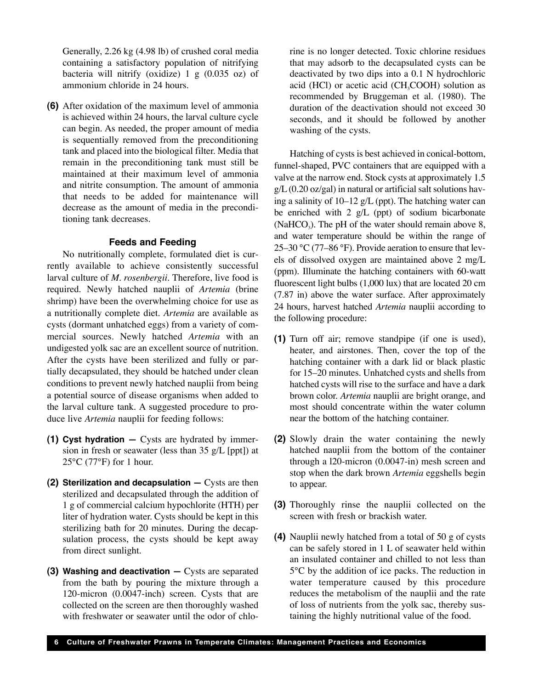Generally, 2.26 kg (4.98 lb) of crushed coral media containing a satisfactory population of nitrifying bacteria will nitrify (oxidize) 1 g (0.035 oz) of ammonium chloride in 24 hours.

**(6)** After oxidation of the maximum level of ammonia is achieved within 24 hours, the larval culture cycle can begin. As needed, the proper amount of media is sequentially removed from the preconditioning tank and placed into the biological filter. Media that remain in the preconditioning tank must still be maintained at their maximum level of ammonia and nitrite consumption. The amount of ammonia that needs to be added for maintenance will decrease as the amount of media in the preconditioning tank decreases.

#### **Feeds and Feeding**

No nutritionally complete, formulated diet is currently available to achieve consistently successful larval culture of *M. rosenbergii*. Therefore, live food is required. Newly hatched nauplii of *Artemia* (brine shrimp) have been the overwhelming choice for use as a nutritionally complete diet. *Artemia* are available as cysts (dormant unhatched eggs) from a variety of commercial sources. Newly hatched *Artemia* with an undigested yolk sac are an excellent source of nutrition. After the cysts have been sterilized and fully or partially decapsulated, they should be hatched under clean conditions to prevent newly hatched nauplii from being a potential source of disease organisms when added to the larval culture tank. A suggested procedure to produce live *Artemia* nauplii for feeding follows:

- **(1) Cyst hydration —** Cysts are hydrated by immersion in fresh or seawater (less than  $35 \text{ g/L}$  [ppt]) at  $25^{\circ}$ C (77 $^{\circ}$ F) for 1 hour.
- **(2) Sterilization and decapsulation —** Cysts are then sterilized and decapsulated through the addition of 1 g of commercial calcium hypochlorite (HTH) per liter of hydration water. Cysts should be kept in this sterilizing bath for 20 minutes. During the decapsulation process, the cysts should be kept away from direct sunlight.
- **(3) Washing and deactivation —** Cysts are separated from the bath by pouring the mixture through a 120-micron (0.0047-inch) screen. Cysts that are collected on the screen are then thoroughly washed with freshwater or seawater until the odor of chlo-

rine is no longer detected. Toxic chlorine residues that may adsorb to the decapsulated cysts can be deactivated by two dips into a 0.1 N hydrochloric acid (HCl) or acetic acid (CH<sub>3</sub>COOH) solution as recommended by Bruggeman et al. (1980). The duration of the deactivation should not exceed 30 seconds, and it should be followed by another washing of the cysts.

Hatching of cysts is best achieved in conical-bottom, funnel-shaped, PVC containers that are equipped with a valve at the narrow end. Stock cysts at approximately 1.5  $g/L$  (0.20 oz/gal) in natural or artificial salt solutions having a salinity of 10–12 g/L (ppt). The hatching water can be enriched with 2 g/L (ppt) of sodium bicarbonate (NaHCO<sub>3</sub>). The pH of the water should remain above 8, and water temperature should be within the range of 25–30 °C (77–86 °F). Provide aeration to ensure that levels of dissolved oxygen are maintained above 2 mg/L (ppm). Illuminate the hatching containers with 60-watt fluorescent light bulbs (1,000 lux) that are located 20 cm (7.87 in) above the water surface. After approximately 24 hours, harvest hatched *Artemia* nauplii according to the following procedure:

- **(1)** Turn off air; remove standpipe (if one is used), heater, and airstones. Then, cover the top of the hatching container with a dark lid or black plastic for 15–20 minutes. Unhatched cysts and shells from hatched cysts will rise to the surface and have a dark brown color. *Artemia* nauplii are bright orange, and most should concentrate within the water column near the bottom of the hatching container.
- **(2)** Slowly drain the water containing the newly hatched nauplii from the bottom of the container through a l20-micron (0.0047-in) mesh screen and stop when the dark brown *Artemia* eggshells begin to appear.
- **(3)** Thoroughly rinse the nauplii collected on the screen with fresh or brackish water.
- **(4)** Nauplii newly hatched from a total of 50 g of cysts can be safely stored in 1 L of seawater held within an insulated container and chilled to not less than 5°C by the addition of ice packs. The reduction in water temperature caused by this procedure reduces the metabolism of the nauplii and the rate of loss of nutrients from the yolk sac, thereby sustaining the highly nutritional value of the food.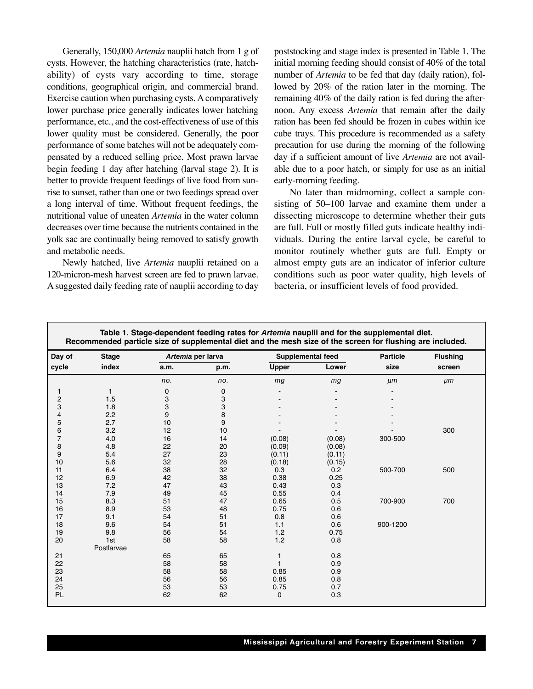Generally, 150,000 *Artemia* nauplii hatch from 1 g of cysts. However, the hatching characteristics (rate, hatchability) of cysts vary according to time, storage conditions, geographical origin, and commercial brand. Exercise caution when purchasing cysts. A comparatively lower purchase price generally indicates lower hatching performance, etc., and the cost-effectiveness of use of this lower quality must be considered. Generally, the poor performance of some batches will not be adequately compensated by a reduced selling price. Most prawn larvae begin feeding 1 day after hatching (larval stage 2). It is better to provide frequent feedings of live food from sunrise to sunset, rather than one or two feedings spread over a long interval of time. Without frequent feedings, the nutritional value of uneaten *Artemia* in the water column decreases over time because the nutrients contained in the yolk sac are continually being removed to satisfy growth and metabolic needs.

Newly hatched, live *Artemia* nauplii retained on a 120-micron-mesh harvest screen are fed to prawn larvae. A suggested daily feeding rate of nauplii according to day poststocking and stage index is presented in Table 1. The initial morning feeding should consist of 40% of the total number of *Artemia* to be fed that day (daily ration), followed by 20% of the ration later in the morning. The remaining 40% of the daily ration is fed during the afternoon. Any excess *Artemia* that remain after the daily ration has been fed should be frozen in cubes within ice cube trays. This procedure is recommended as a safety precaution for use during the morning of the following day if a sufficient amount of live *Artemia* are not available due to a poor hatch, or simply for use as an initial early-morning feeding.

No later than midmorning, collect a sample consisting of 50–100 larvae and examine them under a dissecting microscope to determine whether their guts are full. Full or mostly filled guts indicate healthy individuals. During the entire larval cycle, be careful to monitor routinely whether guts are full. Empty or almost empty guts are an indicator of inferior culture conditions such as poor water quality, high levels of bacteria, or insufficient levels of food provided.

| Table 1. Stage-dependent feeding rates for Artemia nauplii and for the supplemental diet.<br>Recommended particle size of supplemental diet and the mesh size of the screen for flushing are included. |              |      |                   |                   |        |                 |                 |  |
|--------------------------------------------------------------------------------------------------------------------------------------------------------------------------------------------------------|--------------|------|-------------------|-------------------|--------|-----------------|-----------------|--|
| Day of                                                                                                                                                                                                 | <b>Stage</b> |      | Artemia per larva | Supplemental feed |        | <b>Particle</b> | <b>Flushing</b> |  |
| cycle                                                                                                                                                                                                  | index        | a.m. | p.m.              | <b>Upper</b>      | Lower  | size            | screen          |  |
|                                                                                                                                                                                                        |              | no.  | no.               | mg                | mg     | $\mu$ m         | $\mu$ m         |  |
| 1                                                                                                                                                                                                      | $\mathbf{1}$ | 0    | 0                 |                   |        |                 |                 |  |
| $\overline{\mathbf{c}}$                                                                                                                                                                                | 1.5          | 3    | 3                 |                   |        |                 |                 |  |
| 3                                                                                                                                                                                                      | 1.8          | 3    | 3                 |                   |        |                 |                 |  |
| 4                                                                                                                                                                                                      | 2.2          | 9    | 8                 |                   |        |                 |                 |  |
| 5                                                                                                                                                                                                      | 2.7          | 10   | 9                 |                   |        |                 |                 |  |
| 6                                                                                                                                                                                                      | 3.2          | 12   | 10                |                   |        |                 | 300             |  |
| $\overline{7}$                                                                                                                                                                                         | 4.0          | 16   | 14                | (0.08)            | (0.08) | 300-500         |                 |  |
| 8                                                                                                                                                                                                      | 4.8          | 22   | 20                | (0.09)            | (0.08) |                 |                 |  |
| 9                                                                                                                                                                                                      | 5.4          | 27   | 23                | (0.11)            | (0.11) |                 |                 |  |
| 10                                                                                                                                                                                                     | 5.6          | 32   | 28                | (0.18)            | (0.15) |                 |                 |  |
| 11                                                                                                                                                                                                     | 6.4          | 38   | 32                | 0.3               | 0.2    | 500-700         | 500             |  |
| 12                                                                                                                                                                                                     | 6.9          | 42   | 38                | 0.38              | 0.25   |                 |                 |  |
| 13                                                                                                                                                                                                     | 7.2          | 47   | 43                | 0.43              | 0.3    |                 |                 |  |
| 14                                                                                                                                                                                                     | 7.9          | 49   | 45                | 0.55              | 0.4    |                 |                 |  |
| 15                                                                                                                                                                                                     | 8.3          | 51   | 47                | 0.65              | 0.5    | 700-900         | 700             |  |
| 16                                                                                                                                                                                                     | 8.9          | 53   | 48                | 0.75              | 0.6    |                 |                 |  |
| 17                                                                                                                                                                                                     | 9.1          | 54   | 51                | 0.8               | 0.6    |                 |                 |  |
| 18                                                                                                                                                                                                     | 9.6          | 54   | 51                | 1.1               | 0.6    | 900-1200        |                 |  |
| 19                                                                                                                                                                                                     | 9.8          | 56   | 54                | 1.2               | 0.75   |                 |                 |  |
| 20                                                                                                                                                                                                     | 1st          | 58   | 58                | 1.2               | 0.8    |                 |                 |  |
|                                                                                                                                                                                                        | Postlarvae   |      |                   |                   |        |                 |                 |  |
| 21                                                                                                                                                                                                     |              | 65   | 65                | 1                 | 0.8    |                 |                 |  |
| 22                                                                                                                                                                                                     |              | 58   | 58                | 1                 | 0.9    |                 |                 |  |
| 23                                                                                                                                                                                                     |              | 58   | 58                | 0.85              | 0.9    |                 |                 |  |
| 24                                                                                                                                                                                                     |              | 56   | 56                | 0.85              | 0.8    |                 |                 |  |
| 25                                                                                                                                                                                                     |              | 53   | 53                | 0.75              | 0.7    |                 |                 |  |
| PL                                                                                                                                                                                                     |              | 62   | 62                | 0                 | 0.3    |                 |                 |  |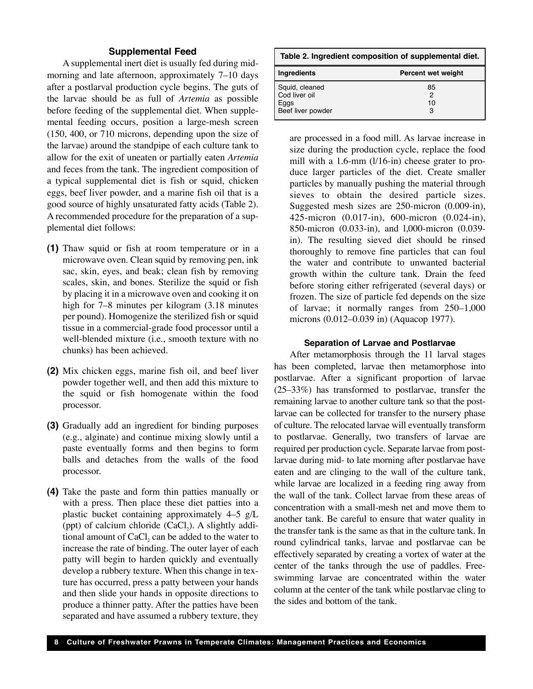#### **Supplemental Feed**

A supplemental inert diet is usually fed during midmorning and late afternoon, approximately 7–10 days after a postlarval production cycle begins. The guts of the larvae should be as full of *Artemia* as possible before feeding of the supplemental diet. When supplemental feeding occurs, position a large-mesh screen (150, 400, or 710 microns, depending upon the size of the larvae) around the standpipe of each culture tank to allow for the exit of uneaten or partially eaten *Artemia* and feces from the tank. The ingredient composition of a typical supplemental diet is fish or squid, chicken eggs, beef liver powder, and a marine fish oil that is a good source of highly unsaturated fatty acids (Table 2). A recommended procedure for the preparation of a supplemental diet follows:

- **(1)** Thaw squid or fish at room temperature or in a microwave oven. Clean squid by removing pen, ink sac, skin, eyes, and beak; clean fish by removing scales, skin, and bones. Sterilize the squid or fish by placing it in a microwave oven and cooking it on high for 7–8 minutes per kilogram  $(3.18 \text{ minutes})$ per pound). Homogenize the sterilized fish or squid tissue in a commercial-grade food processor until a well-blended mixture (i.e., smooth texture with no chunks) has been achieved.
- **(2)** Mix chicken eggs, marine fish oil, and beef liver powder together well, and then add this mixture to the squid or fish homogenate within the food processor.
- **(3)** Gradually add an ingredient for binding purposes (e.g., alginate) and continue mixing slowly until a paste eventually forms and then begins to form balls and detaches from the walls of the food processor.
- **(4)** Take the paste and form thin patties manually or with a press. Then place these diet patties into a plastic bucket containing approximately 4–5 g/L (ppt) of calcium chloride  $(CaCl<sub>2</sub>)$ . A slightly additional amount of CaCl, can be added to the water to increase the rate of binding. The outer layer of each patty will begin to harden quickly and eventually develop a rubbery texture. When this change in texture has occurred, press a patty between your hands and then slide your hands in opposite directions to produce a thinner patty. After the patties have been separated and have assumed a rubbery texture, they

| Table 2. Ingredient composition of supplemental diet.        |                    |  |  |  |  |
|--------------------------------------------------------------|--------------------|--|--|--|--|
| Ingredients                                                  | Percent wet weight |  |  |  |  |
| Squid, cleaned<br>Cod liver oil<br>Eggs<br>Beef liver powder | 85<br>2<br>10<br>з |  |  |  |  |

are processed in a food mill. As larvae increase in size during the production cycle, replace the food mill with a 1.6-mm (l/16-in) cheese grater to produce larger particles of the diet. Create smaller particles by manually pushing the material through sieves to obtain the desired particle sizes. Suggested mesh sizes are 250-micron (0.009-in), 425-micron (0.017-in), 600-micron (0.024-in), 850-micron (0.033-in), and l,000-micron (0.039 in). The resulting sieved diet should be rinsed thoroughly to remove fine particles that can foul the water and contribute to unwanted bacterial growth within the culture tank. Drain the feed before storing either refrigerated (several days) or frozen. The size of particle fed depends on the size of larvae; it normally ranges from 250–1,000 microns (0.012–0.039 in) (Aquacop 1977).

#### **Separation of Larvae and Postlarvae**

After metamorphosis through the 11 larval stages has been completed, larvae then metamorphose into postlarvae. After a significant proportion of larvae (25–33%) has transformed to postlarvae, transfer the remaining larvae to another culture tank so that the postlarvae can be collected for transfer to the nursery phase of culture. The relocated larvae will eventually transform to postlarvae. Generally, two transfers of larvae are required per production cycle. Separate larvae from postlarvae during mid- to late morning after postlarvae have eaten and are clinging to the wall of the culture tank, while larvae are localized in a feeding ring away from the wall of the tank. Collect larvae from these areas of concentration with a small-mesh net and move them to another tank. Be careful to ensure that water quality in the transfer tank is the same as that in the culture tank. In round cylindrical tanks, larvae and postlarvae can be effectively separated by creating a vortex of water at the center of the tanks through the use of paddles. Freeswimming larvae are concentrated within the water column at the center of the tank while postlarvae cling to the sides and bottom of the tank.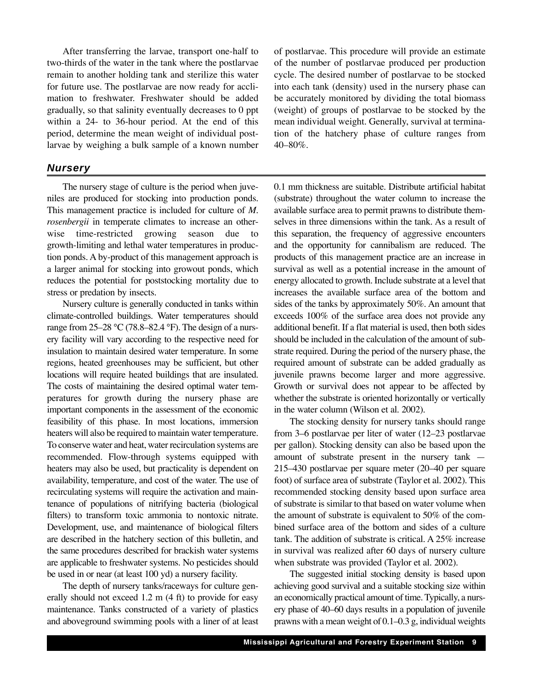After transferring the larvae, transport one-half to two-thirds of the water in the tank where the postlarvae remain to another holding tank and sterilize this water for future use. The postlarvae are now ready for acclimation to freshwater. Freshwater should be added gradually, so that salinity eventually decreases to 0 ppt within a 24- to 36-hour period. At the end of this period, determine the mean weight of individual postlarvae by weighing a bulk sample of a known number

#### *Nursery*

The nursery stage of culture is the period when juveniles are produced for stocking into production ponds. This management practice is included for culture of *M. rosenbergii* in temperate climates to increase an otherwise time-restricted growing season due to growth-limiting and lethal water temperatures in production ponds. A by-product of this management approach is a larger animal for stocking into growout ponds, which reduces the potential for poststocking mortality due to stress or predation by insects.

Nursery culture is generally conducted in tanks within climate-controlled buildings. Water temperatures should range from  $25-28$  °C (78.8–82.4 °F). The design of a nursery facility will vary according to the respective need for insulation to maintain desired water temperature. In some regions, heated greenhouses may be sufficient, but other locations will require heated buildings that are insulated. The costs of maintaining the desired optimal water temperatures for growth during the nursery phase are important components in the assessment of the economic feasibility of this phase. In most locations, immersion heaters will also be required to maintain water temperature. To conserve water and heat, water recirculation systems are recommended. Flow-through systems equipped with heaters may also be used, but practicality is dependent on availability, temperature, and cost of the water. The use of recirculating systems will require the activation and maintenance of populations of nitrifying bacteria (biological filters) to transform toxic ammonia to nontoxic nitrate. Development, use, and maintenance of biological filters are described in the hatchery section of this bulletin, and the same procedures described for brackish water systems are applicable to freshwater systems. No pesticides should be used in or near (at least 100 yd) a nursery facility.

The depth of nursery tanks/raceways for culture generally should not exceed 1.2 m (4 ft) to provide for easy maintenance. Tanks constructed of a variety of plastics and aboveground swimming pools with a liner of at least of postlarvae. This procedure will provide an estimate of the number of postlarvae produced per production cycle. The desired number of postlarvae to be stocked into each tank (density) used in the nursery phase can be accurately monitored by dividing the total biomass (weight) of groups of postlarvae to be stocked by the mean individual weight. Generally, survival at termination of the hatchery phase of culture ranges from 40–80%.

0.1 mm thickness are suitable. Distribute artificial habitat (substrate) throughout the water column to increase the available surface area to permit prawns to distribute themselves in three dimensions within the tank. As a result of this separation, the frequency of aggressive encounters and the opportunity for cannibalism are reduced. The products of this management practice are an increase in survival as well as a potential increase in the amount of energy allocated to growth. Include substrate at a level that increases the available surface area of the bottom and sides of the tanks by approximately 50%. An amount that exceeds 100% of the surface area does not provide any additional benefit. If a flat material is used, then both sides should be included in the calculation of the amount of substrate required. During the period of the nursery phase, the required amount of substrate can be added gradually as juvenile prawns become larger and more aggressive. Growth or survival does not appear to be affected by whether the substrate is oriented horizontally or vertically in the water column (Wilson et al. 2002).

The stocking density for nursery tanks should range from 3–6 postlarvae per liter of water (12–23 postlarvae per gallon). Stocking density can also be based upon the amount of substrate present in the nursery tank — 215–430 postlarvae per square meter (20–40 per square foot) of surface area of substrate (Taylor et al. 2002). This recommended stocking density based upon surface area of substrate is similar to that based on water volume when the amount of substrate is equivalent to 50% of the combined surface area of the bottom and sides of a culture tank. The addition of substrate is critical. A 25% increase in survival was realized after 60 days of nursery culture when substrate was provided (Taylor et al. 2002).

The suggested initial stocking density is based upon achieving good survival and a suitable stocking size within an economically practical amount of time. Typically, a nursery phase of 40–60 days results in a population of juvenile prawns with a mean weight of 0.1–0.3 g, individual weights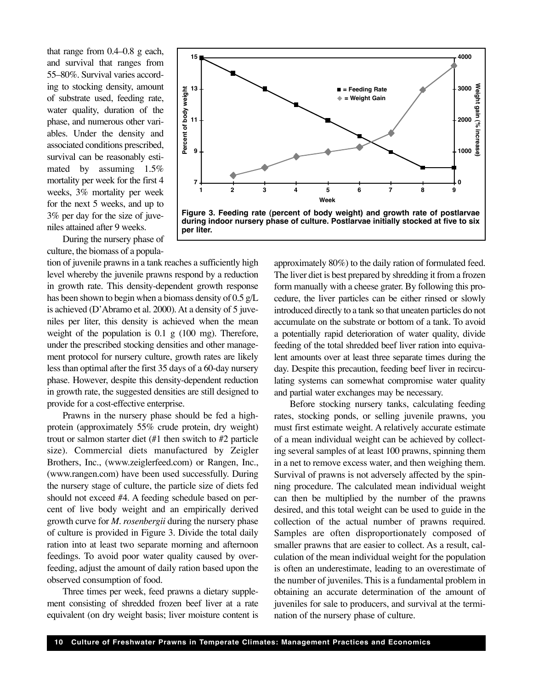that range from 0.4–0.8 g each, and survival that ranges from 55–80%. Survival varies according to stocking density, amount of substrate used, feeding rate, water quality, duration of the phase, and numerous other variables. Under the density and associated conditions prescribed, survival can be reasonably estimated by assuming 1.5% mortality per week for the first 4 weeks, 3% mortality per week for the next 5 weeks, and up to 3% per day for the size of juveniles attained after 9 weeks.

During the nursery phase of culture, the biomass of a popula-

tion of juvenile prawns in a tank reaches a sufficiently high level whereby the juvenile prawns respond by a reduction in growth rate. This density-dependent growth response has been shown to begin when a biomass density of 0.5 g/L is achieved (D'Abramo et al. 2000). At a density of 5 juveniles per liter, this density is achieved when the mean weight of the population is  $0.1 \text{ g}$  (100 mg). Therefore, under the prescribed stocking densities and other management protocol for nursery culture, growth rates are likely less than optimal after the first 35 days of a 60-day nursery phase. However, despite this density-dependent reduction in growth rate, the suggested densities are still designed to provide for a cost-effective enterprise.

Prawns in the nursery phase should be fed a highprotein (approximately 55% crude protein, dry weight) trout or salmon starter diet (#1 then switch to #2 particle size). Commercial diets manufactured by Zeigler Brothers, Inc., (www.zeiglerfeed.com) or Rangen, Inc., (www.rangen.com) have been used successfully. During the nursery stage of culture, the particle size of diets fed should not exceed #4. A feeding schedule based on percent of live body weight and an empirically derived growth curve for *M. rosenbergii* during the nursery phase of culture is provided in Figure 3. Divide the total daily ration into at least two separate morning and afternoon feedings. To avoid poor water quality caused by overfeeding, adjust the amount of daily ration based upon the observed consumption of food.

Three times per week, feed prawns a dietary supplement consisting of shredded frozen beef liver at a rate equivalent (on dry weight basis; liver moisture content is



**during indoor nursery phase of culture. Postlarvae initially stocked at five to six per liter.**

approximately 80%) to the daily ration of formulated feed. The liver diet is best prepared by shredding it from a frozen form manually with a cheese grater. By following this procedure, the liver particles can be either rinsed or slowly introduced directly to a tank so that uneaten particles do not accumulate on the substrate or bottom of a tank. To avoid a potentially rapid deterioration of water quality, divide feeding of the total shredded beef liver ration into equivalent amounts over at least three separate times during the day. Despite this precaution, feeding beef liver in recirculating systems can somewhat compromise water quality and partial water exchanges may be necessary.

Before stocking nursery tanks, calculating feeding rates, stocking ponds, or selling juvenile prawns, you must first estimate weight. A relatively accurate estimate of a mean individual weight can be achieved by collecting several samples of at least 100 prawns, spinning them in a net to remove excess water, and then weighing them. Survival of prawns is not adversely affected by the spinning procedure. The calculated mean individual weight can then be multiplied by the number of the prawns desired, and this total weight can be used to guide in the collection of the actual number of prawns required. Samples are often disproportionately composed of smaller prawns that are easier to collect. As a result, calculation of the mean individual weight for the population is often an underestimate, leading to an overestimate of the number of juveniles. This is a fundamental problem in obtaining an accurate determination of the amount of juveniles for sale to producers, and survival at the termination of the nursery phase of culture.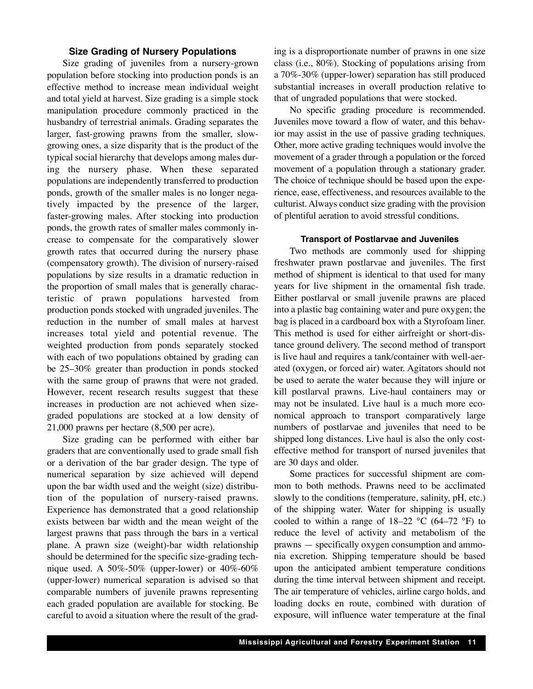#### **Size Grading of Nursery Populations**

Size grading of juveniles from a nursery-grown population before stocking into production ponds is an effective method to increase mean individual weight and total yield at harvest. Size grading is a simple stock manipulation procedure commonly practiced in the husbandry of terrestrial animals. Grading separates the larger, fast-growing prawns from the smaller, slowgrowing ones, a size disparity that is the product of the typical social hierarchy that develops among males during the nursery phase. When these separated populations are independently transferred to production ponds, growth of the smaller males is no longer negatively impacted by the presence of the larger, faster-growing males. After stocking into production ponds, the growth rates of smaller males commonly increase to compensate for the comparatively slower growth rates that occurred during the nursery phase (compensatory growth). The division of nursery-raised populations by size results in a dramatic reduction in the proportion of small males that is generally characteristic of prawn populations harvested from production ponds stocked with ungraded juveniles. The reduction in the number of small males at harvest increases total yield and potential revenue. The weighted production from ponds separately stocked with each of two populations obtained by grading can be 25–30% greater than production in ponds stocked with the same group of prawns that were not graded. However, recent research results suggest that these increases in production are not achieved when sizegraded populations are stocked at a low density of 21,000 prawns per hectare (8,500 per acre).

Size grading can be performed with either bar graders that are conventionally used to grade small fish or a derivation of the bar grader design. The type of numerical separation by size achieved will depend upon the bar width used and the weight (size) distribution of the population of nursery-raised prawns. Experience has demonstrated that a good relationship exists between bar width and the mean weight of the largest prawns that pass through the bars in a vertical plane. A prawn size (weight)-bar width relationship should be determined for the specific size-grading technique used. A 50%-50% (upper-lower) or 40%-60% (upper-lower) numerical separation is advised so that comparable numbers of juvenile prawns representing each graded population are available for stocking. Be careful to avoid a situation where the result of the grading is a disproportionate number of prawns in one size class (i.e., 80%). Stocking of populations arising from a 70%-30% (upper-lower) separation has still produced substantial increases in overall production relative to that of ungraded populations that were stocked.

No specific grading procedure is recommended. Juveniles move toward a flow of water, and this behavior may assist in the use of passive grading techniques. Other, more active grading techniques would involve the movement of a grader through a population or the forced movement of a population through a stationary grader. The choice of technique should be based upon the experience, ease, effectiveness, and resources available to the culturist. Always conduct size grading with the provision of plentiful aeration to avoid stressful conditions.

#### **Transport of Postlarvae and Juveniles**

Two methods are commonly used for shipping freshwater prawn postlarvae and juveniles. The first method of shipment is identical to that used for many years for live shipment in the ornamental fish trade. Either postlarval or small juvenile prawns are placed into a plastic bag containing water and pure oxygen; the bag is placed in a cardboard box with a Styrofoam liner. This method is used for either airfreight or short-distance ground delivery. The second method of transport is live haul and requires a tank/container with well-aerated (oxygen, or forced air) water. Agitators should not be used to aerate the water because they will injure or kill postlarval prawns. Live-haul containers may or may not be insulated. Live haul is a much more economical approach to transport comparatively large numbers of postlarvae and juveniles that need to be shipped long distances. Live haul is also the only costeffective method for transport of nursed juveniles that are 30 days and older.

Some practices for successful shipment are common to both methods. Prawns need to be acclimated slowly to the conditions (temperature, salinity, pH, etc.) of the shipping water. Water for shipping is usually cooled to within a range of  $18-22$  °C (64–72 °F) to reduce the level of activity and metabolism of the prawns — specifically oxygen consumption and ammonia excretion. Shipping temperature should be based upon the anticipated ambient temperature conditions during the time interval between shipment and receipt. The air temperature of vehicles, airline cargo holds, and loading docks en route, combined with duration of exposure, will influence water temperature at the final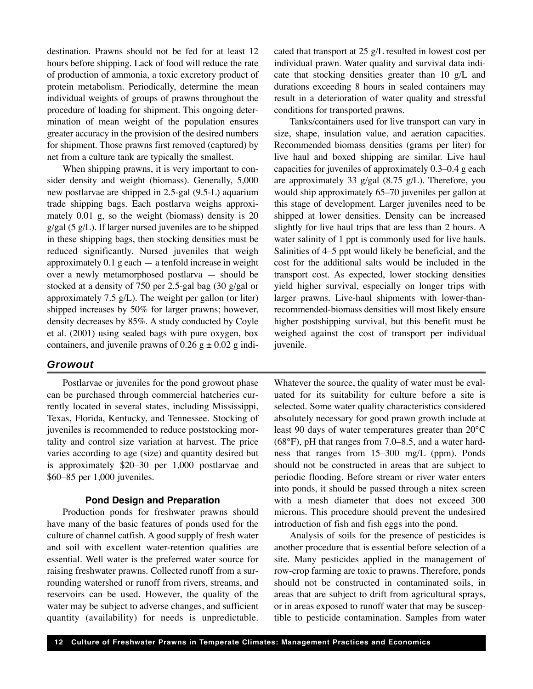destination. Prawns should not be fed for at least 12 hours before shipping. Lack of food will reduce the rate of production of ammonia, a toxic excretory product of protein metabolism. Periodically, determine the mean individual weights of groups of prawns throughout the procedure of loading for shipment. This ongoing determination of mean weight of the population ensures greater accuracy in the provision of the desired numbers for shipment. Those prawns first removed (captured) by net from a culture tank are typically the smallest.

When shipping prawns, it is very important to consider density and weight (biomass). Generally, 5,000 new postlarvae are shipped in 2.5-gal (9.5-L) aquarium trade shipping bags. Each postlarva weighs approximately 0.01 g, so the weight (biomass) density is 20  $g/gal$  (5  $g/L$ ). If larger nursed juveniles are to be shipped in these shipping bags, then stocking densities must be reduced significantly. Nursed juveniles that weigh approximately  $0.1$  g each  $-$  a tenfold increase in weight over a newly metamorphosed postlarva — should be stocked at a density of 750 per 2.5-gal bag (30 g/gal or approximately 7.5  $g/L$ ). The weight per gallon (or liter) shipped increases by 50% for larger prawns; however, density decreases by 85%. A study conducted by Coyle et al. (2001) using sealed bags with pure oxygen, box containers, and juvenile prawns of  $0.26 \text{ g} \pm 0.02 \text{ g}$  indi-

#### *Growout*

Postlarvae or juveniles for the pond growout phase can be purchased through commercial hatcheries currently located in several states, including Mississippi, Texas, Florida, Kentucky, and Tennessee. Stocking of juveniles is recommended to reduce poststocking mortality and control size variation at harvest. The price varies according to age (size) and quantity desired but is approximately \$20–30 per 1,000 postlarvae and \$60–85 per 1,000 juveniles.

#### **Pond Design and Preparation**

Production ponds for freshwater prawns should have many of the basic features of ponds used for the culture of channel catfish. A good supply of fresh water and soil with excellent water-retention qualities are essential. Well water is the preferred water source for raising freshwater prawns. Collected runoff from a surrounding watershed or runoff from rivers, streams, and reservoirs can be used. However, the quality of the water may be subject to adverse changes, and sufficient quantity (availability) for needs is unpredictable. cated that transport at 25 g/L resulted in lowest cost per individual prawn. Water quality and survival data indicate that stocking densities greater than 10 g/L and durations exceeding 8 hours in sealed containers may result in a deterioration of water quality and stressful conditions for transported prawns.

Tanks/containers used for live transport can vary in size, shape, insulation value, and aeration capacities. Recommended biomass densities (grams per liter) for live haul and boxed shipping are similar. Live haul capacities for juveniles of approximately 0.3–0.4 g each are approximately 33 g/gal  $(8.75 \text{ g/L})$ . Therefore, you would ship approximately 65–70 juveniles per gallon at this stage of development. Larger juveniles need to be shipped at lower densities. Density can be increased slightly for live haul trips that are less than 2 hours. A water salinity of 1 ppt is commonly used for live hauls. Salinities of 4–5 ppt would likely be beneficial, and the cost for the additional salts would be included in the transport cost. As expected, lower stocking densities yield higher survival, especially on longer trips with larger prawns. Live-haul shipments with lower-thanrecommended-biomass densities will most likely ensure higher postshipping survival, but this benefit must be weighed against the cost of transport per individual juvenile.

Whatever the source, the quality of water must be evaluated for its suitability for culture before a site is selected. Some water quality characteristics considered absolutely necessary for good prawn growth include at least 90 days of water temperatures greater than 20°C (68°F), pH that ranges from 7.0–8.5, and a water hardness that ranges from 15–300 mg/L (ppm). Ponds should not be constructed in areas that are subject to periodic flooding. Before stream or river water enters into ponds, it should be passed through a nitex screen with a mesh diameter that does not exceed 300 microns. This procedure should prevent the undesired introduction of fish and fish eggs into the pond.

Analysis of soils for the presence of pesticides is another procedure that is essential before selection of a site. Many pesticides applied in the management of row-crop farming are toxic to prawns. Therefore, ponds should not be constructed in contaminated soils, in areas that are subject to drift from agricultural sprays, or in areas exposed to runoff water that may be susceptible to pesticide contamination. Samples from water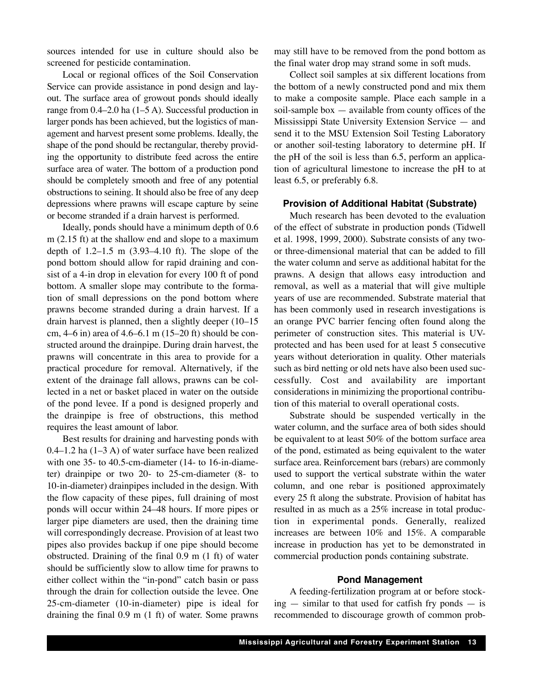sources intended for use in culture should also be screened for pesticide contamination.

Local or regional offices of the Soil Conservation Service can provide assistance in pond design and layout. The surface area of growout ponds should ideally range from 0.4–2.0 ha (1–5 A). Successful production in larger ponds has been achieved, but the logistics of management and harvest present some problems. Ideally, the shape of the pond should be rectangular, thereby providing the opportunity to distribute feed across the entire surface area of water. The bottom of a production pond should be completely smooth and free of any potential obstructions to seining. It should also be free of any deep depressions where prawns will escape capture by seine or become stranded if a drain harvest is performed.

Ideally, ponds should have a minimum depth of 0.6 m (2.15 ft) at the shallow end and slope to a maximum depth of 1.2–1.5 m (3.93–4.10 ft). The slope of the pond bottom should allow for rapid draining and consist of a 4-in drop in elevation for every 100 ft of pond bottom. A smaller slope may contribute to the formation of small depressions on the pond bottom where prawns become stranded during a drain harvest. If a drain harvest is planned, then a slightly deeper (10–15 cm, 4–6 in) area of 4.6–6.1 m (15–20 ft) should be constructed around the drainpipe. During drain harvest, the prawns will concentrate in this area to provide for a practical procedure for removal. Alternatively, if the extent of the drainage fall allows, prawns can be collected in a net or basket placed in water on the outside of the pond levee. If a pond is designed properly and the drainpipe is free of obstructions, this method requires the least amount of labor.

Best results for draining and harvesting ponds with  $0.4-1.2$  ha  $(1-3 A)$  of water surface have been realized with one 35- to 40.5-cm-diameter (14- to 16-in-diameter) drainpipe or two 20- to 25-cm-diameter (8- to 10-in-diameter) drainpipes included in the design. With the flow capacity of these pipes, full draining of most ponds will occur within 24–48 hours. If more pipes or larger pipe diameters are used, then the draining time will correspondingly decrease. Provision of at least two pipes also provides backup if one pipe should become obstructed. Draining of the final 0.9 m (1 ft) of water should be sufficiently slow to allow time for prawns to either collect within the "in-pond" catch basin or pass through the drain for collection outside the levee. One 25-cm-diameter (10-in-diameter) pipe is ideal for draining the final 0.9 m (1 ft) of water. Some prawns may still have to be removed from the pond bottom as the final water drop may strand some in soft muds.

Collect soil samples at six different locations from the bottom of a newly constructed pond and mix them to make a composite sample. Place each sample in a soil-sample box  $-$  available from county offices of the Mississippi State University Extension Service — and send it to the MSU Extension Soil Testing Laboratory or another soil-testing laboratory to determine pH. If the pH of the soil is less than 6.5, perform an application of agricultural limestone to increase the pH to at least 6.5, or preferably 6.8.

#### **Provision of Additional Habitat (Substrate)**

Much research has been devoted to the evaluation of the effect of substrate in production ponds (Tidwell et al. 1998, 1999, 2000). Substrate consists of any twoor three-dimensional material that can be added to fill the water column and serve as additional habitat for the prawns. A design that allows easy introduction and removal, as well as a material that will give multiple years of use are recommended. Substrate material that has been commonly used in research investigations is an orange PVC barrier fencing often found along the perimeter of construction sites. This material is UVprotected and has been used for at least 5 consecutive years without deterioration in quality. Other materials such as bird netting or old nets have also been used successfully. Cost and availability are important considerations in minimizing the proportional contribution of this material to overall operational costs.

Substrate should be suspended vertically in the water column, and the surface area of both sides should be equivalent to at least 50% of the bottom surface area of the pond, estimated as being equivalent to the water surface area. Reinforcement bars (rebars) are commonly used to support the vertical substrate within the water column, and one rebar is positioned approximately every 25 ft along the substrate. Provision of habitat has resulted in as much as a 25% increase in total production in experimental ponds. Generally, realized increases are between 10% and 15%. A comparable increase in production has yet to be demonstrated in commercial production ponds containing substrate.

#### **Pond Management**

A feeding-fertilization program at or before stock $ing$  — similar to that used for catfish fry ponds — is recommended to discourage growth of common prob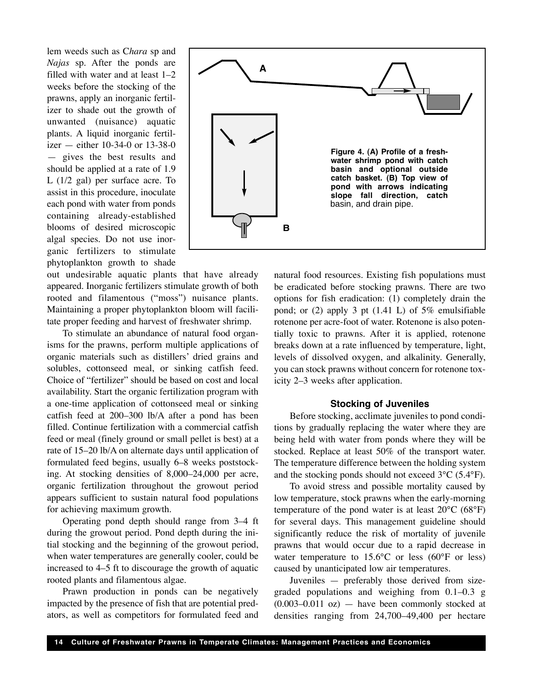lem weeds such as C*hara* sp and *Najas* sp*.* After the ponds are filled with water and at least 1–2 weeks before the stocking of the prawns, apply an inorganic fertilizer to shade out the growth of unwanted (nuisance) aquatic plants. A liquid inorganic fertilizer — either 10-34-0 or 13-38-0 — gives the best results and should be applied at a rate of 1.9 L (1/2 gal) per surface acre. To assist in this procedure, inoculate each pond with water from ponds containing already-established blooms of desired microscopic algal species. Do not use inorganic fertilizers to stimulate phytoplankton growth to shade

out undesirable aquatic plants that have already appeared. Inorganic fertilizers stimulate growth of both rooted and filamentous ("moss") nuisance plants. Maintaining a proper phytoplankton bloom will facilitate proper feeding and harvest of freshwater shrimp.

To stimulate an abundance of natural food organisms for the prawns, perform multiple applications of organic materials such as distillers' dried grains and solubles, cottonseed meal, or sinking catfish feed. Choice of "fertilizer" should be based on cost and local availability. Start the organic fertilization program with a one-time application of cottonseed meal or sinking catfish feed at 200–300 lb/A after a pond has been filled. Continue fertilization with a commercial catfish feed or meal (finely ground or small pellet is best) at a rate of 15–20 lb/A on alternate days until application of formulated feed begins, usually 6–8 weeks poststocking. At stocking densities of 8,000–24,000 per acre, organic fertilization throughout the growout period appears sufficient to sustain natural food populations for achieving maximum growth.

Operating pond depth should range from 3–4 ft during the growout period. Pond depth during the initial stocking and the beginning of the growout period, when water temperatures are generally cooler, could be increased to 4–5 ft to discourage the growth of aquatic rooted plants and filamentous algae.

Prawn production in ponds can be negatively impacted by the presence of fish that are potential predators, as well as competitors for formulated feed and



natural food resources. Existing fish populations must be eradicated before stocking prawns. There are two options for fish eradication: (1) completely drain the pond; or  $(2)$  apply 3 pt  $(1.41 \text{ L})$  of 5% emulsifiable rotenone per acre-foot of water. Rotenone is also potentially toxic to prawns. After it is applied, rotenone breaks down at a rate influenced by temperature, light, levels of dissolved oxygen, and alkalinity. Generally, you can stock prawns without concern for rotenone toxicity 2–3 weeks after application.

#### **Stocking of Juveniles**

Before stocking, acclimate juveniles to pond conditions by gradually replacing the water where they are being held with water from ponds where they will be stocked. Replace at least 50% of the transport water. The temperature difference between the holding system and the stocking ponds should not exceed 3°C (5.4°F).

To avoid stress and possible mortality caused by low temperature, stock prawns when the early-morning temperature of the pond water is at least  $20^{\circ}$ C (68 $^{\circ}$ F) for several days. This management guideline should significantly reduce the risk of mortality of juvenile prawns that would occur due to a rapid decrease in water temperature to 15.6°C or less (60°F or less) caused by unanticipated low air temperatures.

Juveniles — preferably those derived from sizegraded populations and weighing from 0.1–0.3 g  $(0.003-0.011 \text{ oz})$  — have been commonly stocked at densities ranging from 24,700–49,400 per hectare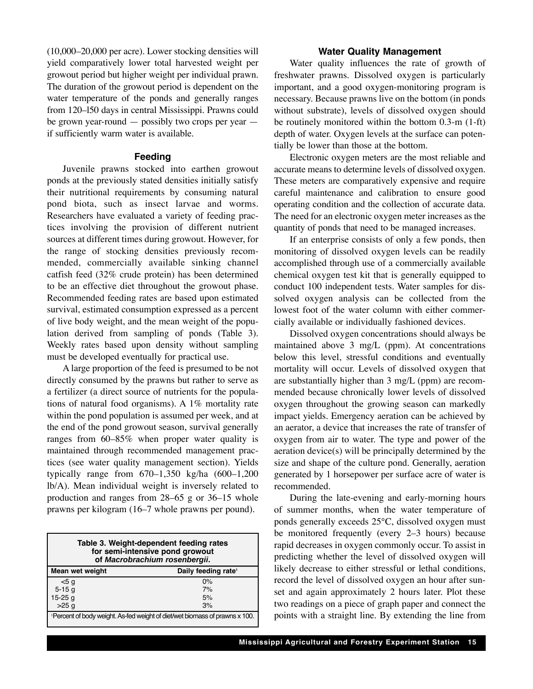(10,000–20,000 per acre). Lower stocking densities will yield comparatively lower total harvested weight per growout period but higher weight per individual prawn. The duration of the growout period is dependent on the water temperature of the ponds and generally ranges from 120–l50 days in central Mississippi. Prawns could be grown year-round — possibly two crops per year if sufficiently warm water is available.

#### **Feeding**

Juvenile prawns stocked into earthen growout ponds at the previously stated densities initially satisfy their nutritional requirements by consuming natural pond biota, such as insect larvae and worms. Researchers have evaluated a variety of feeding practices involving the provision of different nutrient sources at different times during growout. However, for the range of stocking densities previously recommended, commercially available sinking channel catfish feed (32% crude protein) has been determined to be an effective diet throughout the growout phase. Recommended feeding rates are based upon estimated survival, estimated consumption expressed as a percent of live body weight, and the mean weight of the population derived from sampling of ponds (Table 3). Weekly rates based upon density without sampling must be developed eventually for practical use.

A large proportion of the feed is presumed to be not directly consumed by the prawns but rather to serve as a fertilizer (a direct source of nutrients for the populations of natural food organisms). A 1% mortality rate within the pond population is assumed per week, and at the end of the pond growout season, survival generally ranges from 60–85% when proper water quality is maintained through recommended management practices (see water quality management section). Yields typically range from 670–1,350 kg/ha (600–1,200 lb/A). Mean individual weight is inversely related to production and ranges from 28–65 g or 36–15 whole prawns per kilogram (16–7 whole prawns per pound).

| Table 3. Weight-dependent feeding rates<br>for semi-intensive pond growout<br>of Macrobrachium rosenbergii. |                                 |  |  |  |  |  |
|-------------------------------------------------------------------------------------------------------------|---------------------------------|--|--|--|--|--|
| Mean wet weight                                                                                             | Daily feeding rate <sup>1</sup> |  |  |  |  |  |
| < 5a                                                                                                        | 0%                              |  |  |  |  |  |
| $5 - 15q$                                                                                                   | 7%                              |  |  |  |  |  |
| $15-25$ g                                                                                                   | 5%                              |  |  |  |  |  |
| >25q                                                                                                        | 3%                              |  |  |  |  |  |
| <sup>1</sup> Percent of body weight. As-fed weight of diet/wet biomass of prawns x 100.                     |                                 |  |  |  |  |  |

#### **Water Quality Management**

Water quality influences the rate of growth of freshwater prawns. Dissolved oxygen is particularly important, and a good oxygen-monitoring program is necessary. Because prawns live on the bottom (in ponds without substrate), levels of dissolved oxygen should be routinely monitored within the bottom 0.3-m (1-ft) depth of water. Oxygen levels at the surface can potentially be lower than those at the bottom.

Electronic oxygen meters are the most reliable and accurate means to determine levels of dissolved oxygen. These meters are comparatively expensive and require careful maintenance and calibration to ensure good operating condition and the collection of accurate data. The need for an electronic oxygen meter increases as the quantity of ponds that need to be managed increases.

If an enterprise consists of only a few ponds, then monitoring of dissolved oxygen levels can be readily accomplished through use of a commercially available chemical oxygen test kit that is generally equipped to conduct 100 independent tests. Water samples for dissolved oxygen analysis can be collected from the lowest foot of the water column with either commercially available or individually fashioned devices.

Dissolved oxygen concentrations should always be maintained above 3 mg/L (ppm). At concentrations below this level, stressful conditions and eventually mortality will occur. Levels of dissolved oxygen that are substantially higher than 3 mg/L (ppm) are recommended because chronically lower levels of dissolved oxygen throughout the growing season can markedly impact yields. Emergency aeration can be achieved by an aerator, a device that increases the rate of transfer of oxygen from air to water. The type and power of the aeration device(s) will be principally determined by the size and shape of the culture pond. Generally, aeration generated by 1 horsepower per surface acre of water is recommended.

During the late-evening and early-morning hours of summer months, when the water temperature of ponds generally exceeds 25°C, dissolved oxygen must be monitored frequently (every 2–3 hours) because rapid decreases in oxygen commonly occur. To assist in predicting whether the level of dissolved oxygen will likely decrease to either stressful or lethal conditions, record the level of dissolved oxygen an hour after sunset and again approximately 2 hours later. Plot these two readings on a piece of graph paper and connect the points with a straight line. By extending the line from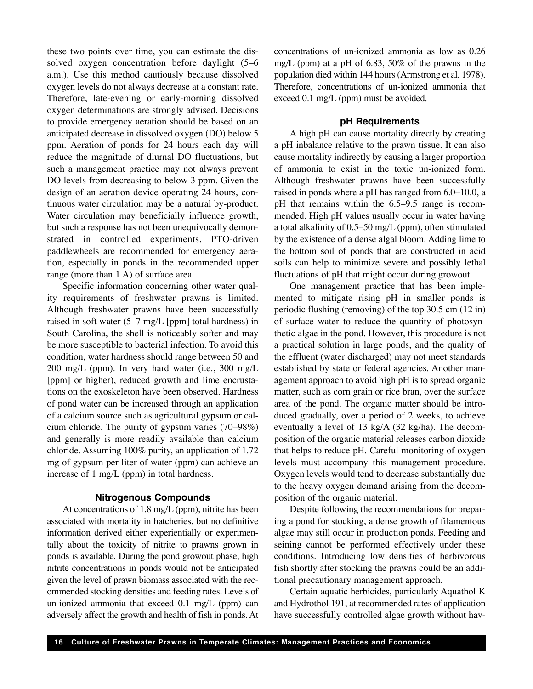these two points over time, you can estimate the dissolved oxygen concentration before daylight (5–6 a.m.). Use this method cautiously because dissolved oxygen levels do not always decrease at a constant rate. Therefore, late-evening or early-morning dissolved oxygen determinations are strongly advised. Decisions to provide emergency aeration should be based on an anticipated decrease in dissolved oxygen (DO) below 5 ppm. Aeration of ponds for 24 hours each day will reduce the magnitude of diurnal DO fluctuations, but such a management practice may not always prevent DO levels from decreasing to below 3 ppm. Given the design of an aeration device operating 24 hours, continuous water circulation may be a natural by-product. Water circulation may beneficially influence growth, but such a response has not been unequivocally demonstrated in controlled experiments. PTO-driven paddlewheels are recommended for emergency aeration, especially in ponds in the recommended upper range (more than 1 A) of surface area.

Specific information concerning other water quality requirements of freshwater prawns is limited. Although freshwater prawns have been successfully raised in soft water (5–7 mg/L [ppm] total hardness) in South Carolina, the shell is noticeably softer and may be more susceptible to bacterial infection. To avoid this condition, water hardness should range between 50 and 200 mg/L (ppm). In very hard water (i.e., 300 mg/L [ppm] or higher), reduced growth and lime encrustations on the exoskeleton have been observed. Hardness of pond water can be increased through an application of a calcium source such as agricultural gypsum or calcium chloride. The purity of gypsum varies (70–98%) and generally is more readily available than calcium chloride. Assuming 100% purity, an application of 1.72 mg of gypsum per liter of water (ppm) can achieve an increase of 1 mg/L (ppm) in total hardness.

#### **Nitrogenous Compounds**

At concentrations of 1.8 mg/L (ppm), nitrite has been associated with mortality in hatcheries, but no definitive information derived either experientially or experimentally about the toxicity of nitrite to prawns grown in ponds is available. During the pond growout phase, high nitrite concentrations in ponds would not be anticipated given the level of prawn biomass associated with the recommended stocking densities and feeding rates. Levels of un-ionized ammonia that exceed 0.1 mg/L (ppm) can adversely affect the growth and health of fish in ponds. At concentrations of un-ionized ammonia as low as 0.26 mg/L (ppm) at a pH of 6.83, 50% of the prawns in the population died within 144 hours (Armstrong et al. 1978). Therefore, concentrations of un-ionized ammonia that exceed 0.1 mg/L (ppm) must be avoided.

#### **pH Requirements**

A high pH can cause mortality directly by creating a pH inbalance relative to the prawn tissue. It can also cause mortality indirectly by causing a larger proportion of ammonia to exist in the toxic un-ionized form. Although freshwater prawns have been successfully raised in ponds where a pH has ranged from 6.0–10.0, a pH that remains within the 6.5–9.5 range is recommended. High pH values usually occur in water having a total alkalinity of 0.5–50 mg/L (ppm), often stimulated by the existence of a dense algal bloom. Adding lime to the bottom soil of ponds that are constructed in acid soils can help to minimize severe and possibly lethal fluctuations of pH that might occur during growout.

One management practice that has been implemented to mitigate rising pH in smaller ponds is periodic flushing (removing) of the top 30.5 cm (12 in) of surface water to reduce the quantity of photosynthetic algae in the pond. However, this procedure is not a practical solution in large ponds, and the quality of the effluent (water discharged) may not meet standards established by state or federal agencies. Another management approach to avoid high pH is to spread organic matter, such as corn grain or rice bran, over the surface area of the pond. The organic matter should be introduced gradually, over a period of 2 weeks, to achieve eventually a level of 13 kg/A (32 kg/ha). The decomposition of the organic material releases carbon dioxide that helps to reduce pH. Careful monitoring of oxygen levels must accompany this management procedure. Oxygen levels would tend to decrease substantially due to the heavy oxygen demand arising from the decomposition of the organic material.

Despite following the recommendations for preparing a pond for stocking, a dense growth of filamentous algae may still occur in production ponds. Feeding and seining cannot be performed effectively under these conditions. Introducing low densities of herbivorous fish shortly after stocking the prawns could be an additional precautionary management approach.

Certain aquatic herbicides, particularly Aquathol K and Hydrothol 191, at recommended rates of application have successfully controlled algae growth without hav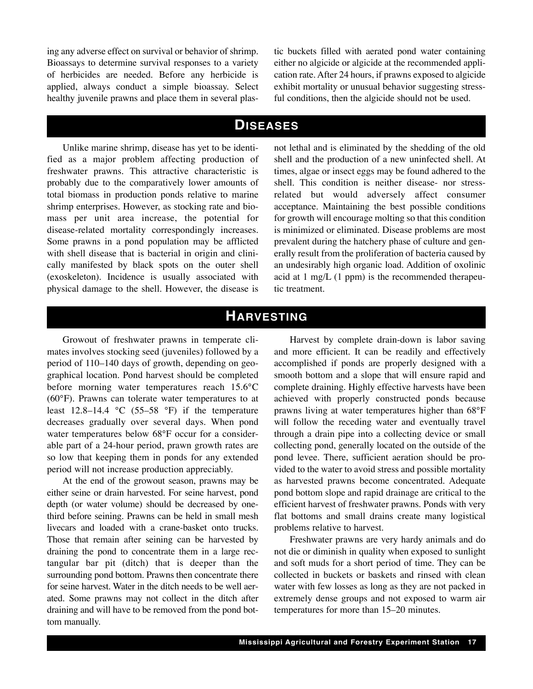ing any adverse effect on survival or behavior of shrimp. Bioassays to determine survival responses to a variety of herbicides are needed. Before any herbicide is applied, always conduct a simple bioassay. Select healthy juvenile prawns and place them in several plastic buckets filled with aerated pond water containing either no algicide or algicide at the recommended application rate. After 24 hours, if prawns exposed to algicide exhibit mortality or unusual behavior suggesting stressful conditions, then the algicide should not be used.

### **DISEASES**

Unlike marine shrimp, disease has yet to be identified as a major problem affecting production of freshwater prawns. This attractive characteristic is probably due to the comparatively lower amounts of total biomass in production ponds relative to marine shrimp enterprises. However, as stocking rate and biomass per unit area increase, the potential for disease-related mortality correspondingly increases. Some prawns in a pond population may be afflicted with shell disease that is bacterial in origin and clinically manifested by black spots on the outer shell (exoskeleton). Incidence is usually associated with physical damage to the shell. However, the disease is

not lethal and is eliminated by the shedding of the old shell and the production of a new uninfected shell. At times, algae or insect eggs may be found adhered to the shell. This condition is neither disease- nor stressrelated but would adversely affect consumer acceptance. Maintaining the best possible conditions for growth will encourage molting so that this condition is minimized or eliminated. Disease problems are most prevalent during the hatchery phase of culture and generally result from the proliferation of bacteria caused by an undesirably high organic load. Addition of oxolinic acid at 1 mg/L (1 ppm) is the recommended therapeutic treatment.

## **HARVESTING**

Growout of freshwater prawns in temperate climates involves stocking seed (juveniles) followed by a period of 110–140 days of growth, depending on geographical location. Pond harvest should be completed before morning water temperatures reach 15.6°C (60°F). Prawns can tolerate water temperatures to at least 12.8–14.4  $\degree$ C (55–58  $\degree$ F) if the temperature decreases gradually over several days. When pond water temperatures below 68°F occur for a considerable part of a 24-hour period, prawn growth rates are so low that keeping them in ponds for any extended period will not increase production appreciably.

At the end of the growout season, prawns may be either seine or drain harvested. For seine harvest, pond depth (or water volume) should be decreased by onethird before seining. Prawns can be held in small mesh livecars and loaded with a crane-basket onto trucks. Those that remain after seining can be harvested by draining the pond to concentrate them in a large rectangular bar pit (ditch) that is deeper than the surrounding pond bottom. Prawns then concentrate there for seine harvest. Water in the ditch needs to be well aerated. Some prawns may not collect in the ditch after draining and will have to be removed from the pond bottom manually.

Harvest by complete drain-down is labor saving and more efficient. It can be readily and effectively accomplished if ponds are properly designed with a smooth bottom and a slope that will ensure rapid and complete draining. Highly effective harvests have been achieved with properly constructed ponds because prawns living at water temperatures higher than 68°F will follow the receding water and eventually travel through a drain pipe into a collecting device or small collecting pond, generally located on the outside of the pond levee. There, sufficient aeration should be provided to the water to avoid stress and possible mortality as harvested prawns become concentrated. Adequate pond bottom slope and rapid drainage are critical to the efficient harvest of freshwater prawns. Ponds with very flat bottoms and small drains create many logistical problems relative to harvest.

Freshwater prawns are very hardy animals and do not die or diminish in quality when exposed to sunlight and soft muds for a short period of time. They can be collected in buckets or baskets and rinsed with clean water with few losses as long as they are not packed in extremely dense groups and not exposed to warm air temperatures for more than 15–20 minutes.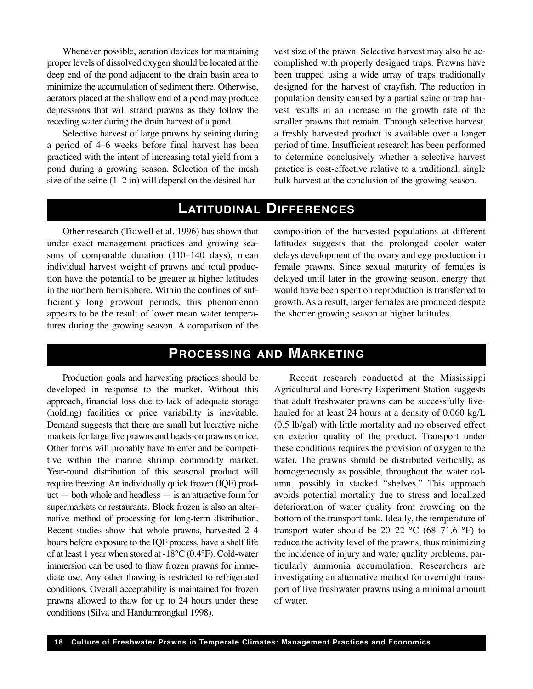Whenever possible, aeration devices for maintaining proper levels of dissolved oxygen should be located at the deep end of the pond adjacent to the drain basin area to minimize the accumulation of sediment there. Otherwise, aerators placed at the shallow end of a pond may produce depressions that will strand prawns as they follow the receding water during the drain harvest of a pond.

Selective harvest of large prawns by seining during a period of 4–6 weeks before final harvest has been practiced with the intent of increasing total yield from a pond during a growing season. Selection of the mesh size of the seine  $(1-2$  in) will depend on the desired harvest size of the prawn. Selective harvest may also be accomplished with properly designed traps. Prawns have been trapped using a wide array of traps traditionally designed for the harvest of crayfish. The reduction in population density caused by a partial seine or trap harvest results in an increase in the growth rate of the smaller prawns that remain. Through selective harvest, a freshly harvested product is available over a longer period of time. Insufficient research has been performed to determine conclusively whether a selective harvest practice is cost-effective relative to a traditional, single bulk harvest at the conclusion of the growing season.

## **LATITUDINAL DIFFERENCES**

Other research (Tidwell et al. 1996) has shown that under exact management practices and growing seasons of comparable duration (110–140 days), mean individual harvest weight of prawns and total production have the potential to be greater at higher latitudes in the northern hemisphere. Within the confines of sufficiently long growout periods, this phenomenon appears to be the result of lower mean water temperatures during the growing season. A comparison of the composition of the harvested populations at different latitudes suggests that the prolonged cooler water delays development of the ovary and egg production in female prawns. Since sexual maturity of females is delayed until later in the growing season, energy that would have been spent on reproduction is transferred to growth. As a result, larger females are produced despite the shorter growing season at higher latitudes.

## **PROCESSING AND MARKETING**

Production goals and harvesting practices should be developed in response to the market. Without this approach, financial loss due to lack of adequate storage (holding) facilities or price variability is inevitable. Demand suggests that there are small but lucrative niche markets for large live prawns and heads-on prawns on ice. Other forms will probably have to enter and be competitive within the marine shrimp commodity market. Year-round distribution of this seasonal product will require freezing. An individually quick frozen (IQF) product — both whole and headless — is an attractive form for supermarkets or restaurants. Block frozen is also an alternative method of processing for long-term distribution. Recent studies show that whole prawns, harvested 2–4 hours before exposure to the IQF process, have a shelf life of at least 1 year when stored at -18°C (0.4°F). Cold-water immersion can be used to thaw frozen prawns for immediate use. Any other thawing is restricted to refrigerated conditions. Overall acceptability is maintained for frozen prawns allowed to thaw for up to 24 hours under these conditions (Silva and Handumrongkul 1998).

Recent research conducted at the Mississippi Agricultural and Forestry Experiment Station suggests that adult freshwater prawns can be successfully livehauled for at least 24 hours at a density of 0.060 kg/L (0.5 lb/gal) with little mortality and no observed effect on exterior quality of the product. Transport under these conditions requires the provision of oxygen to the water. The prawns should be distributed vertically, as homogeneously as possible, throughout the water column, possibly in stacked "shelves." This approach avoids potential mortality due to stress and localized deterioration of water quality from crowding on the bottom of the transport tank. Ideally, the temperature of transport water should be  $20-22$  °C (68-71.6 °F) to reduce the activity level of the prawns, thus minimizing the incidence of injury and water quality problems, particularly ammonia accumulation. Researchers are investigating an alternative method for overnight transport of live freshwater prawns using a minimal amount of water.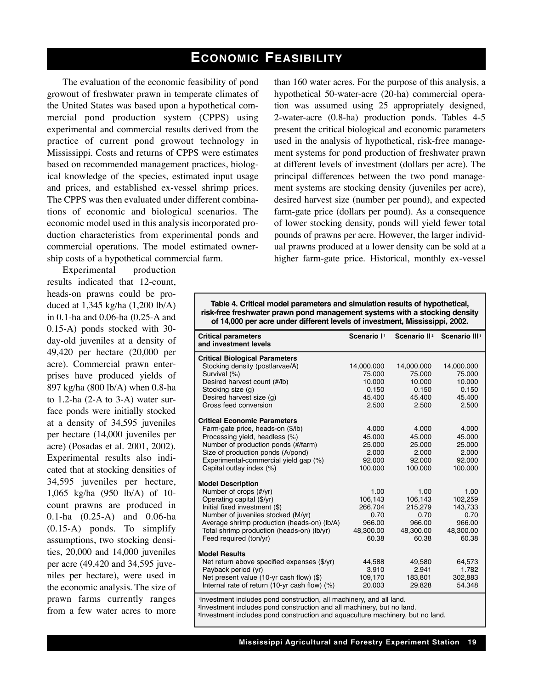## **ECONOMIC FEASIBILITY**

The evaluation of the economic feasibility of pond growout of freshwater prawn in temperate climates of the United States was based upon a hypothetical commercial pond production system (CPPS) using experimental and commercial results derived from the practice of current pond growout technology in Mississippi. Costs and returns of CPPS were estimates based on recommended management practices, biological knowledge of the species, estimated input usage and prices, and established ex-vessel shrimp prices. The CPPS was then evaluated under different combinations of economic and biological scenarios. The economic model used in this analysis incorporated production characteristics from experimental ponds and commercial operations. The model estimated ownership costs of a hypothetical commercial farm.

Experimental production results indicated that 12-count, heads-on prawns could be produced at 1,345 kg/ha (1,200 lb/A) in 0.1-ha and 0.06-ha (0.25-A and 0.15-A) ponds stocked with 30 day-old juveniles at a density of 49,420 per hectare (20,000 per acre). Commercial prawn enterprises have produced yields of 897 kg/ha (800 lb/A) when 0.8-ha to 1.2-ha (2-A to 3-A) water surface ponds were initially stocked at a density of 34,595 juveniles per hectare (14,000 juveniles per acre) (Posadas et al. 2001, 2002). Experimental results also indicated that at stocking densities of 34,595 juveniles per hectare, 1,065 kg/ha (950 lb/A) of 10 count prawns are produced in 0.1-ha (0.25-A) and 0.06-ha (0.15-A) ponds. To simplify assumptions, two stocking densities, 20,000 and 14,000 juveniles per acre (49,420 and 34,595 juveniles per hectare), were used in the economic analysis. The size of prawn farms currently ranges from a few water acres to more

than 160 water acres. For the purpose of this analysis, a hypothetical 50-water-acre (20-ha) commercial operation was assumed using 25 appropriately designed, 2-water-acre (0.8-ha) production ponds. Tables 4-5 present the critical biological and economic parameters used in the analysis of hypothetical, risk-free management systems for pond production of freshwater prawn at different levels of investment (dollars per acre). The principal differences between the two pond management systems are stocking density (juveniles per acre), desired harvest size (number per pound), and expected farm-gate price (dollars per pound). As a consequence of lower stocking density, ponds will yield fewer total pounds of prawns per acre. However, the larger individual prawns produced at a lower density can be sold at a higher farm-gate price. Historical, monthly ex-vessel

**Table 4. Critical model parameters and simulation results of hypothetical, risk-free freshwater prawn pond management systems with a stocking density of 14,000 per acre under different levels of investment, Mississippi, 2002.**

| <b>Critical parameters</b><br>and investment levels                                                                                                                                                                                                                           | Scenario I <sup>1</sup>                                            |                                                                    | Scenario II <sup>2</sup> Scenario III <sup>3</sup>                 |
|-------------------------------------------------------------------------------------------------------------------------------------------------------------------------------------------------------------------------------------------------------------------------------|--------------------------------------------------------------------|--------------------------------------------------------------------|--------------------------------------------------------------------|
| <b>Critical Biological Parameters</b><br>Stocking density (postlarvae/A)<br>Survival (%)<br>Desired harvest count (#/lb)<br>Stocking size (g)<br>Desired harvest size (q)<br>Gross feed conversion                                                                            | 14,000.000<br>75.000<br>10.000<br>0.150<br>45.400<br>2.500         | 14,000.000<br>75.000<br>10.000<br>0.150<br>45.400<br>2.500         | 14,000.000<br>75.000<br>10.000<br>0.150<br>45.400<br>2.500         |
| <b>Critical Economic Parameters</b><br>Farm-gate price, heads-on (\$/lb)<br>Processing yield, headless (%)<br>Number of production ponds (#/farm)<br>Size of production ponds (A/pond)<br>Experimental-commercial yield gap (%)<br>Capital outlay index (%)                   | 4.000<br>45.000<br>25.000<br>2.000<br>92.000<br>100.000            | 4.000<br>45.000<br>25.000<br>2.000<br>92.000<br>100.000            | 4.000<br>45.000<br>25.000<br>2.000<br>92.000<br>100.000            |
| <b>Model Description</b><br>Number of crops (#/yr)<br>Operating capital (\$/yr)<br>Initial fixed investment (\$)<br>Number of juveniles stocked (M/yr)<br>Average shrimp production (heads-on) (lb/A)<br>Total shrimp production (heads-on) (lb/yr)<br>Feed required (ton/yr) | 1.00<br>106,143<br>266,704<br>0.70<br>966.00<br>48,300.00<br>60.38 | 1.00<br>106,143<br>215,279<br>0.70<br>966.00<br>48,300.00<br>60.38 | 1.00<br>102,259<br>143,733<br>0.70<br>966.00<br>48,300.00<br>60.38 |
| <b>Model Results</b><br>Net return above specified expenses (\$/yr)<br>Payback period (yr)<br>Net present value (10-yr cash flow) (\$)<br>Internal rate of return $(10-yr \cosh flow)$ (%)                                                                                    | 44,588<br>3.910<br>109,170<br>20.003                               | 49,580<br>2.941<br>183,801<br>29.828                               | 64,573<br>1.782<br>302,883<br>54.348                               |

1 Investment includes pond construction, all machinery, and all land.

2 Investment includes pond construction and all machinery, but no land.

3 Investment includes pond construction and aquaculture machinery, but no land.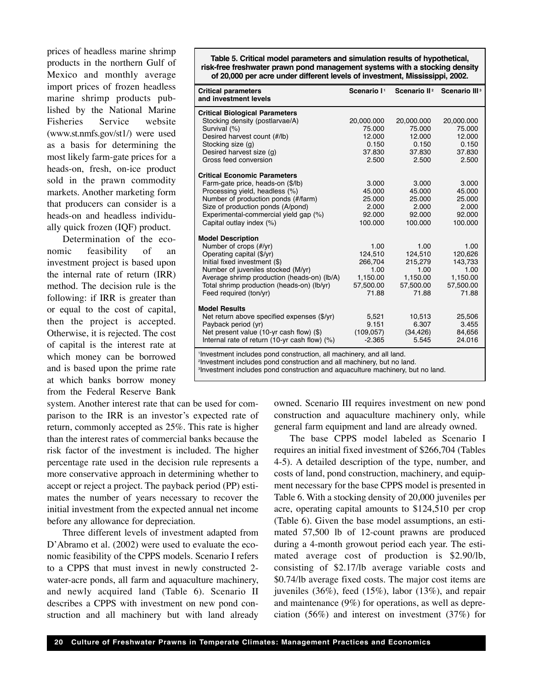prices of headless marine shrimp products in the northern Gulf of Mexico and monthly average import prices of frozen headless marine shrimp products published by the National Marine Fisheries Service website (www.st.nmfs.gov/st1/) were used as a basis for determining the most likely farm-gate prices for a heads-on, fresh, on-ice product sold in the prawn commodity markets. Another marketing form that producers can consider is a heads-on and headless individually quick frozen (IQF) product.

Determination of the economic feasibility of an investment project is based upon the internal rate of return (IRR) method. The decision rule is the following: if IRR is greater than or equal to the cost of capital, then the project is accepted. Otherwise, it is rejected. The cost of capital is the interest rate at which money can be borrowed and is based upon the prime rate at which banks borrow money from the Federal Reserve Bank

system. Another interest rate that can be used for comparison to the IRR is an investor's expected rate of return, commonly accepted as 25%. This rate is higher than the interest rates of commercial banks because the risk factor of the investment is included. The higher percentage rate used in the decision rule represents a more conservative approach in determining whether to accept or reject a project. The payback period (PP) estimates the number of years necessary to recover the initial investment from the expected annual net income before any allowance for depreciation.

Three different levels of investment adapted from D'Abramo et al. (2002) were used to evaluate the economic feasibility of the CPPS models. Scenario I refers to a CPPS that must invest in newly constructed 2 water-acre ponds, all farm and aquaculture machinery, and newly acquired land (Table 6). Scenario II describes a CPPS with investment on new pond construction and all machinery but with land already

**Table 5. Critical model parameters and simulation results of hypothetical, risk-free freshwater prawn pond management systems with a stocking density of 20,000 per acre under different levels of investment, Mississippi, 2002.**

| <b>Critical parameters</b><br>and investment levels                              | Scenario I <sup>1</sup> | Scenario II <sup>2</sup> | Scenario III <sup>3</sup> |
|----------------------------------------------------------------------------------|-------------------------|--------------------------|---------------------------|
| <b>Critical Biological Parameters</b>                                            |                         |                          |                           |
| Stocking density (postlarvae/A)                                                  | 20,000.000              | 20,000.000               | 20,000.000                |
| Survival (%)                                                                     | 75.000                  | 75.000                   | 75.000                    |
| Desired harvest count (#/lb)                                                     | 12.000                  | 12.000                   | 12.000                    |
| Stocking size (g)                                                                | 0.150                   | 0.150                    | 0.150                     |
| Desired harvest size (g)                                                         | 37.830                  | 37.830                   | 37.830                    |
| Gross feed conversion                                                            | 2.500                   | 2.500                    | 2.500                     |
| <b>Critical Economic Parameters</b>                                              |                         |                          |                           |
| Farm-gate price, heads-on (\$/lb)                                                | 3.000                   | 3.000                    | 3.000                     |
| Processing yield, headless (%)                                                   | 45.000                  | 45.000                   | 45.000                    |
| Number of production ponds (#/farm)                                              | 25.000                  | 25.000                   | 25.000                    |
| Size of production ponds (A/pond)                                                | 2.000                   | 2.000                    | 2.000                     |
| Experimental-commercial yield gap (%)                                            | 92.000                  | 92.000                   | 92.000                    |
| Capital outlay index (%)                                                         | 100.000                 | 100.000                  | 100.000                   |
| <b>Model Description</b>                                                         |                         |                          |                           |
| Number of crops (#/yr)                                                           | 1.00                    | 1.00                     | 1.00                      |
| Operating capital (\$/yr)                                                        | 124,510                 | 124,510                  | 120,626                   |
| Initial fixed investment (\$)                                                    | 266,704                 | 215,279                  | 143,733                   |
| Number of juveniles stocked (M/yr)                                               | 1.00                    | 1.00                     | 1.00                      |
| Average shrimp production (heads-on) (lb/A)                                      | 1,150.00                | 1,150.00                 | 1,150.00                  |
| Total shrimp production (heads-on) (lb/yr)                                       | 57,500.00               | 57,500.00                | 57,500.00                 |
| Feed required (ton/yr)                                                           | 71.88                   | 71.88                    | 71.88                     |
| <b>Model Results</b>                                                             |                         |                          |                           |
| Net return above specified expenses (\$/yr)                                      | 5,521                   | 10,513                   | 25,506                    |
| Payback period (yr)                                                              | 9.151                   | 6.307                    | 3.455                     |
| Net present value (10-yr cash flow) (\$)                                         | (109, 057)              | (34, 426)                | 84,656                    |
| Internal rate of return (10-yr cash flow) (%)                                    | $-2.365$                | 5.545                    | 24.016                    |
| <sup>1</sup> Investment includes pond construction, all machinery, and all land. |                         |                          |                           |

2 Investment includes pond construction and all machinery, but no land.

3 Investment includes pond construction and aquaculture machinery, but no land.

owned. Scenario III requires investment on new pond construction and aquaculture machinery only, while general farm equipment and land are already owned.

The base CPPS model labeled as Scenario I requires an initial fixed investment of \$266,704 (Tables 4-5). A detailed description of the type, number, and costs of land, pond construction, machinery, and equipment necessary for the base CPPS model is presented in Table 6. With a stocking density of 20,000 juveniles per acre, operating capital amounts to \$124,510 per crop (Table 6). Given the base model assumptions, an estimated 57,500 lb of 12-count prawns are produced during a 4-month growout period each year. The estimated average cost of production is \$2.90/lb, consisting of \$2.17/lb average variable costs and \$0.74/lb average fixed costs. The major cost items are juveniles (36%), feed (15%), labor (13%), and repair and maintenance (9%) for operations, as well as depreciation (56%) and interest on investment (37%) for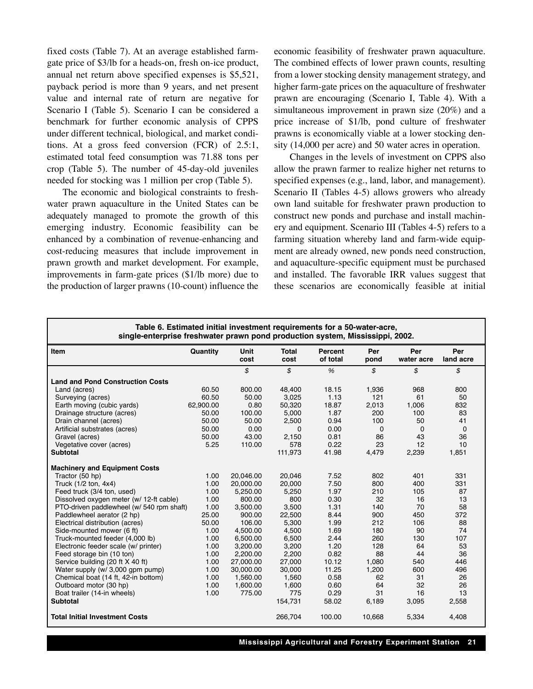fixed costs (Table 7). At an average established farmgate price of \$3/lb for a heads-on, fresh on-ice product, annual net return above specified expenses is \$5,521, payback period is more than 9 years, and net present value and internal rate of return are negative for Scenario I (Table 5). Scenario I can be considered a benchmark for further economic analysis of CPPS under different technical, biological, and market conditions. At a gross feed conversion (FCR) of 2.5:1, estimated total feed consumption was 71.88 tons per crop (Table 5). The number of 45-day-old juveniles needed for stocking was 1 million per crop (Table 5).

The economic and biological constraints to freshwater prawn aquaculture in the United States can be adequately managed to promote the growth of this emerging industry. Economic feasibility can be enhanced by a combination of revenue-enhancing and cost-reducing measures that include improvement in prawn growth and market development. For example, improvements in farm-gate prices (\$1/lb more) due to the production of larger prawns (10-count) influence the economic feasibility of freshwater prawn aquaculture. The combined effects of lower prawn counts, resulting from a lower stocking density management strategy, and higher farm-gate prices on the aquaculture of freshwater prawn are encouraging (Scenario I, Table 4). With a simultaneous improvement in prawn size (20%) and a price increase of \$1/lb, pond culture of freshwater prawns is economically viable at a lower stocking density (14,000 per acre) and 50 water acres in operation.

Changes in the levels of investment on CPPS also allow the prawn farmer to realize higher net returns to specified expenses (e.g., land, labor, and management). Scenario II (Tables 4-5) allows growers who already own land suitable for freshwater prawn production to construct new ponds and purchase and install machinery and equipment. Scenario III (Tables 4-5) refers to a farming situation whereby land and farm-wide equipment are already owned, new ponds need construction, and aquaculture-specific equipment must be purchased and installed. The favorable IRR values suggest that these scenarios are economically feasible at initial

| Table 6. Estimated initial investment requirements for a 50-water-acre,<br>single-enterprise freshwater prawn pond production system, Mississippi, 2002. |           |              |                      |                     |             |                   |                  |  |
|----------------------------------------------------------------------------------------------------------------------------------------------------------|-----------|--------------|----------------------|---------------------|-------------|-------------------|------------------|--|
| Item                                                                                                                                                     | Quantity  | Unit<br>cost | <b>Total</b><br>cost | Percent<br>of total | Per<br>pond | Per<br>water acre | Per<br>land acre |  |
|                                                                                                                                                          |           | \$           | \$                   | %                   | \$          | \$                | \$               |  |
| <b>Land and Pond Construction Costs</b>                                                                                                                  |           |              |                      |                     |             |                   |                  |  |
| Land (acres)                                                                                                                                             | 60.50     | 800.00       | 48,400               | 18.15               | 1,936       | 968               | 800              |  |
| Surveying (acres)                                                                                                                                        | 60.50     | 50.00        | 3,025                | 1.13                | 121         | 61                | 50               |  |
| Earth moving (cubic yards)                                                                                                                               | 62,900.00 | 0.80         | 50,320               | 18.87               | 2,013       | 1,006             | 832              |  |
| Drainage structure (acres)                                                                                                                               | 50.00     | 100.00       | 5.000                | 1.87                | 200         | 100               | 83               |  |
| Drain channel (acres)                                                                                                                                    | 50.00     | 50.00        | 2,500                | 0.94                | 100         | 50                | 41               |  |
| Artificial substrates (acres)                                                                                                                            | 50.00     | 0.00         | 0                    | 0.00                | $\mathbf 0$ | $\mathbf 0$       | $\Omega$         |  |
| Gravel (acres)                                                                                                                                           | 50.00     | 43.00        | 2,150                | 0.81                | 86          | 43                | 36               |  |
| Vegetative cover (acres)                                                                                                                                 | 5.25      | 110.00       | 578                  | 0.22                | 23          | 12                | 10               |  |
| <b>Subtotal</b>                                                                                                                                          |           |              | 111,973              | 41.98               | 4,479       | 2,239             | 1,851            |  |
| <b>Machinery and Equipment Costs</b>                                                                                                                     |           |              |                      |                     |             |                   |                  |  |
| Tractor (50 hp)                                                                                                                                          | 1.00      | 20,046.00    | 20,046               | 7.52                | 802         | 401               | 331              |  |
| Truck (1/2 ton, 4x4)                                                                                                                                     | 1.00      | 20,000.00    | 20,000               | 7.50                | 800         | 400               | 331              |  |
| Feed truck (3/4 ton, used)                                                                                                                               | 1.00      | 5,250.00     | 5,250                | 1.97                | 210         | 105               | 87               |  |
| Dissolved oxygen meter (w/ 12-ft cable)                                                                                                                  | 1.00      | 800.00       | 800                  | 0.30                | 32          | 16                | 13               |  |
| PTO-driven paddlewheel (w/ 540 rpm shaft)                                                                                                                | 1.00      | 3,500.00     | 3,500                | 1.31                | 140         | 70                | 58               |  |
| Paddlewheel aerator (2 hp)                                                                                                                               | 25.00     | 900.00       | 22,500               | 8.44                | 900         | 450               | 372              |  |
| Electrical distribution (acres)                                                                                                                          | 50.00     | 106.00       | 5.300                | 1.99                | 212         | 106               | 88               |  |
| Side-mounted mower (6 ft)                                                                                                                                | 1.00      | 4,500.00     | 4,500                | 1.69                | 180         | 90                | 74               |  |
| Truck-mounted feeder (4,000 lb)                                                                                                                          | 1.00      | 6.500.00     | 6,500                | 2.44                | 260         | 130               | 107              |  |
| Electronic feeder scale (w/ printer)                                                                                                                     | 1.00      | 3,200.00     | 3,200                | 1.20                | 128         | 64                | 53               |  |
| Feed storage bin (10 ton)                                                                                                                                | 1.00      | 2.200.00     | 2,200                | 0.82                | 88          | 44                | 36               |  |
| Service building (20 ft X 40 ft)                                                                                                                         | 1.00      | 27.000.00    | 27,000               | 10.12               | 1.080       | 540               | 446              |  |
| Water supply (w/ 3,000 qpm pump)                                                                                                                         | 1.00      | 30,000.00    | 30,000               | 11.25               | 1,200       | 600               | 496              |  |
| Chemical boat (14 ft, 42-in bottom)                                                                                                                      | 1.00      | 1,560.00     | 1,560                | 0.58                | 62          | 31                | 26               |  |
| Outboard motor (30 hp)                                                                                                                                   | 1.00      | 1,600.00     | 1,600                | 0.60                | 64          | 32                | 26               |  |
| Boat trailer (14-in wheels)                                                                                                                              | 1.00      | 775.00       | 775                  | 0.29                | 31          | 16                | 13               |  |
| <b>Subtotal</b>                                                                                                                                          |           |              | 154,731              | 58.02               | 6,189       | 3,095             | 2,558            |  |
| <b>Total Initial Investment Costs</b>                                                                                                                    |           |              | 266,704              | 100.00              | 10,668      | 5,334             | 4,408            |  |

**Mississippi Agricultural and Forestry Experiment Station 21**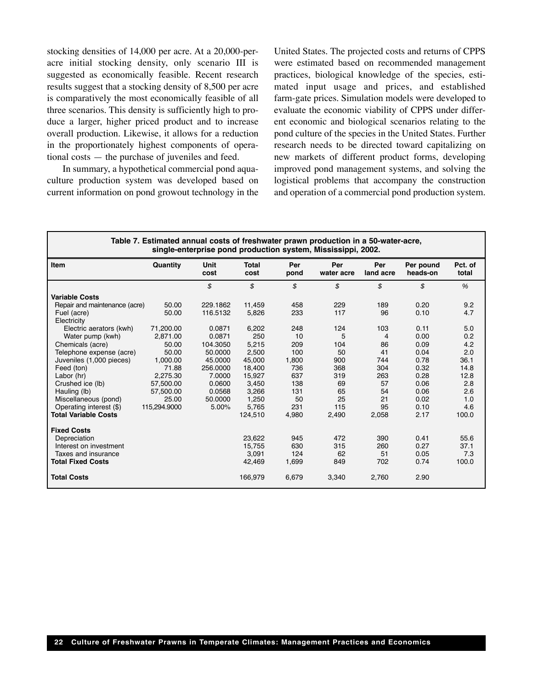stocking densities of 14,000 per acre. At a 20,000-peracre initial stocking density, only scenario III is suggested as economically feasible. Recent research results suggest that a stocking density of 8,500 per acre is comparatively the most economically feasible of all three scenarios. This density is sufficiently high to produce a larger, higher priced product and to increase overall production. Likewise, it allows for a reduction in the proportionately highest components of operational costs — the purchase of juveniles and feed.

In summary, a hypothetical commercial pond aquaculture production system was developed based on current information on pond growout technology in the United States. The projected costs and returns of CPPS were estimated based on recommended management practices, biological knowledge of the species, estimated input usage and prices, and established farm-gate prices. Simulation models were developed to evaluate the economic viability of CPPS under different economic and biological scenarios relating to the pond culture of the species in the United States. Further research needs to be directed toward capitalizing on new markets of different product forms, developing improved pond management systems, and solving the logistical problems that accompany the construction and operation of a commercial pond production system.

| Table 7. Estimated annual costs of freshwater prawn production in a 50-water-acre,<br>single-enterprise pond production system, Mississippi, 2002. |              |              |                      |             |                   |                  |                       |                  |
|----------------------------------------------------------------------------------------------------------------------------------------------------|--------------|--------------|----------------------|-------------|-------------------|------------------|-----------------------|------------------|
| Item                                                                                                                                               | Quantity     | Unit<br>cost | <b>Total</b><br>cost | Per<br>pond | Per<br>water acre | Per<br>land acre | Per pound<br>heads-on | Pct. of<br>total |
|                                                                                                                                                    |              | \$           | \$                   | \$          | \$                | \$               | \$                    | %                |
| <b>Variable Costs</b>                                                                                                                              |              |              |                      |             |                   |                  |                       |                  |
| Repair and maintenance (acre)                                                                                                                      | 50.00        | 229.1862     | 11,459               | 458         | 229               | 189              | 0.20                  | 9.2              |
| Fuel (acre)<br>Electricity                                                                                                                         | 50.00        | 116.5132     | 5,826                | 233         | 117               | 96               | 0.10                  | 4.7              |
| Electric aerators (kwh)                                                                                                                            | 71,200.00    | 0.0871       | 6,202                | 248         | 124               | 103              | 0.11                  | 5.0              |
| Water pump (kwh)                                                                                                                                   | 2.871.00     | 0.0871       | 250                  | 10          | 5                 | 4                | 0.00                  | 0.2              |
| Chemicals (acre)                                                                                                                                   | 50.00        | 104.3050     | 5,215                | 209         | 104               | 86               | 0.09                  | 4.2              |
| Telephone expense (acre)                                                                                                                           | 50.00        | 50.0000      | 2,500                | 100         | 50                | 41               | 0.04                  | 2.0              |
| Juveniles (1,000 pieces)                                                                                                                           | 1,000.00     | 45.0000      | 45,000               | 1,800       | 900               | 744              | 0.78                  | 36.1             |
| Feed (ton)                                                                                                                                         | 71.88        | 256.0000     | 18,400               | 736         | 368               | 304              | 0.32                  | 14.8             |
| Labor (hr)                                                                                                                                         | 2.275.30     | 7.0000       | 15,927               | 637         | 319               | 263              | 0.28                  | 12.8             |
| Crushed ice (lb)                                                                                                                                   | 57,500.00    | 0.0600       | 3,450                | 138         | 69                | 57               | 0.06                  | 2.8              |
| Hauling (lb)                                                                                                                                       | 57,500.00    | 0.0568       | 3,266                | 131         | 65                | 54               | 0.06                  | 2.6              |
| Miscellaneous (pond)                                                                                                                               | 25.00        | 50.0000      | 1,250                | 50          | 25                | 21               | 0.02                  | 1.0              |
| Operating interest (\$)                                                                                                                            | 115,294.9000 | 5.00%        | 5,765                | 231         | 115               | 95               | 0.10                  | 4.6              |
| <b>Total Variable Costs</b>                                                                                                                        |              |              | 124,510              | 4,980       | 2,490             | 2,058            | 2.17                  | 100.0            |
| <b>Fixed Costs</b>                                                                                                                                 |              |              |                      |             |                   |                  |                       |                  |
| Depreciation                                                                                                                                       |              |              | 23,622               | 945         | 472               | 390              | 0.41                  | 55.6             |
| Interest on investment                                                                                                                             |              |              | 15,755               | 630         | 315               | 260              | 0.27                  | 37.1             |
| Taxes and insurance                                                                                                                                |              |              | 3.091                | 124         | 62                | 51               | 0.05                  | 7.3              |
| <b>Total Fixed Costs</b>                                                                                                                           |              |              | 42,469               | 1,699       | 849               | 702              | 0.74                  | 100.0            |
| <b>Total Costs</b>                                                                                                                                 |              |              | 166,979              | 6,679       | 3,340             | 2,760            | 2.90                  |                  |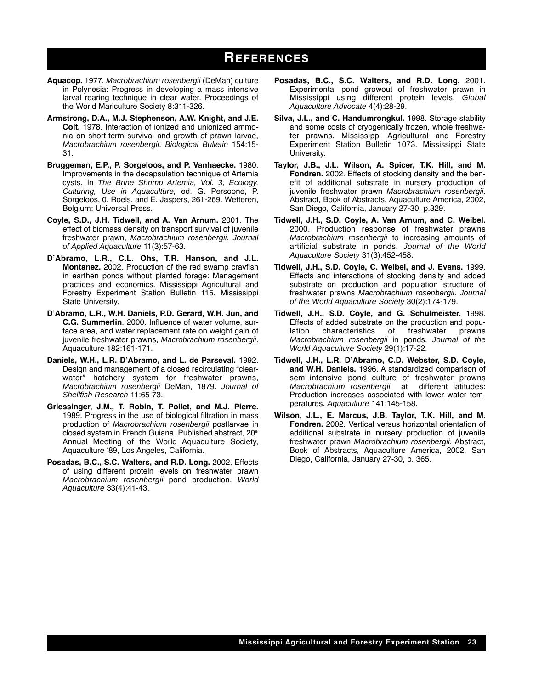### **REFERENCES**

- **Aquacop.** 1977. *Macrobrachium rosenbergii* (DeMan) culture in Polynesia: Progress in developing a mass intensive larval rearing technique in clear water. Proceedings of the World Mariculture Society 8:311-326.
- **Armstrong, D.A., M.J. Stephenson, A.W. Knight, and J.E. Colt.** 1978. Interaction of ionized and unionized ammonia on short-term survival and growth of prawn larvae, *Macrobrachium rosenbergii*. *Biological Bulletin* 154:15- 31.
- **Bruggeman, E.P., P. Sorgeloos, and P. Vanhaecke.** 1980. Improvements in the decapsulation technique of Artemia cysts. In *The Brine Shrimp Artemia, Vol. 3, Ecology, Culturing, Use in Aquaculture,* ed. G. Persoone, P. Sorgeloos, 0. Roels, and E. Jaspers, 261-269. Wetteren, Belgium: Universal Press.
- **Coyle, S.D., J.H. Tidwell, and A. Van Arnum.** 2001. The effect of biomass density on transport survival of juvenile freshwater prawn, *Macrobrachium rosenbergii*. *Journal of Applied Aquaculture* 11(3):57-63.
- **D'Abramo, L.R., C.L. Ohs, T.R. Hanson, and J.L. Montanez.** 2002. Production of the red swamp crayfish in earthen ponds without planted forage: Management practices and economics. Mississippi Agricultural and Forestry Experiment Station Bulletin 115. Mississippi State University.
- **D'Abramo, L.R., W.H. Daniels, P.D. Gerard, W.H. Jun, and C.G. Summerlin**. 2000. Influence of water volume, surface area, and water replacement rate on weight gain of juvenile freshwater prawns, *Macrobrachium rosenbergii*. Aquaculture 182:161-171.
- **Daniels, W.H., L.R. D'Abramo, and L. de Parseval.** 1992. Design and management of a closed recirculating "clearwater" hatchery system for freshwater prawns, *Macrobrachium rosenbergii* DeMan, 1879. *Journal of Shellfish Research* 11:65-73.
- **Griessinger, J.M., T. Robin, T. Pollet, and M.J. Pierre.** 1989. Progress in the use of biological filtration in mass production of *Macrobrachium rosenbergii* postlarvae in closed system in French Guiana. Published abstract, 20<sup>th</sup> Annual Meeting of the World Aquaculture Society, Aquaculture '89, Los Angeles, California.
- **Posadas, B.C., S.C. Walters, and R.D. Long.** 2002. Effects of using different protein levels on freshwater prawn *Macrobrachium rosenbergii* pond production. *World Aquaculture* 33(4):41-43.
- **Posadas, B.C., S.C. Walters, and R.D. Long.** 2001. Experimental pond growout of freshwater prawn in Mississippi using different protein levels. *Global Aquaculture Advocate* 4(4):28-29.
- **Silva, J.L., and C. Handumrongkul.** 1998. Storage stability and some costs of cryogenically frozen, whole freshwater prawns. Mississippi Agricultural and Forestry Experiment Station Bulletin 1073. Mississippi State University.
- **Taylor, J.B., J.L. Wilson, A. Spicer, T.K. Hill, and M. Fondren.** 2002. Effects of stocking density and the benefit of additional substrate in nursery production of juvenile freshwater prawn *Macrobrachium rosenbergii*. Abstract, Book of Abstracts, Aquaculture America, 2002, San Diego, California, January 27-30, p.329.
- **Tidwell, J.H., S.D. Coyle, A. Van Arnum, and C. Weibel.** 2000. Production response of freshwater prawns *Macrobrachium rosenbergii* to increasing amounts of artificial substrate in ponds. *Journal of the World Aquaculture Society* 31(3):452-458.
- **Tidwell, J.H., S.D. Coyle, C. Weibel, and J. Evans.** 1999. Effects and interactions of stocking density and added substrate on production and population structure of freshwater prawns *Macrobrachium rosenbergii*. *Journal of the World Aquaculture Society* 30(2):174-179.
- **Tidwell, J.H., S.D. Coyle, and G. Schulmeister.** 1998. Effects of added substrate on the production and population characteristics of freshwater prawns *Macrobrachium rosenbergii* in ponds. *Journal of the World Aquaculture Society* 29(1):17-22.
- **Tidwell, J.H., L.R. D'Abramo, C.D. Webster, S.D. Coyle, and W.H. Daniels.** 1996. A standardized comparison of semi-intensive pond culture of freshwater prawns *Macrobrachium rosenbergii* at different latitudes: Production increases associated with lower water temperatures. *Aquaculture* 141:145-158.
- **Wilson, J.L., E. Marcus, J.B. Taylor, T.K. Hill, and M. Fondren.** 2002. Vertical versus horizontal orientation of additional substrate in nursery production of juvenile freshwater prawn *Macrobrachium rosenbergii*. Abstract, Book of Abstracts, Aquaculture America, 2002, San Diego, California, January 27-30, p. 365.